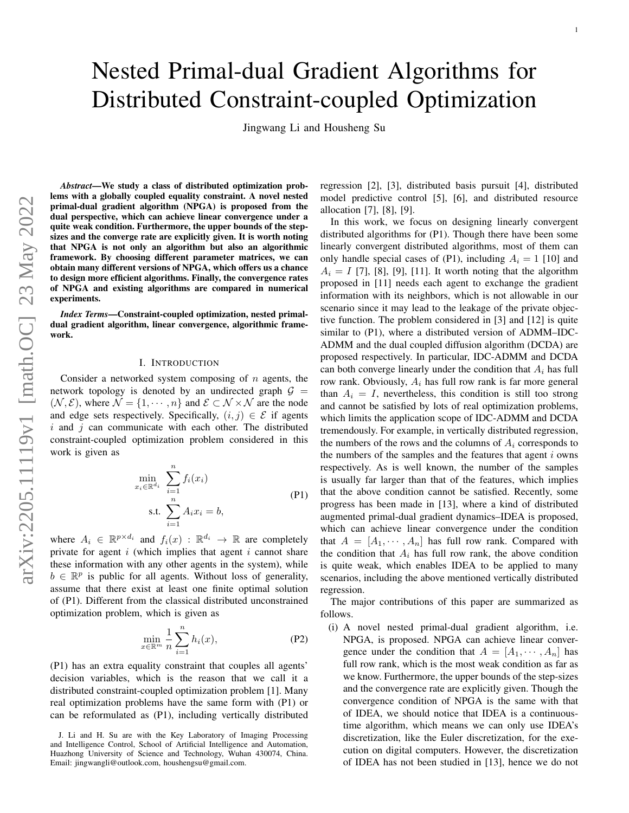Jingwang Li and Housheng Su

*Abstract*—We study a class of distributed optimization problems with a globally coupled equality constraint. A novel nested primal-dual gradient algorithm (NPGA) is proposed from the dual perspective, which can achieve linear convergence under a quite weak condition. Furthermore, the upper bounds of the stepsizes and the converge rate are explicitly given. It is worth noting that NPGA is not only an algorithm but also an algorithmic framework. By choosing different parameter matrices, we can obtain many different versions of NPGA, which offers us a chance to design more efficient algorithms. Finally, the convergence rates of NPGA and existing algorithms are compared in numerical experiments.

*Index Terms*—Constraint-coupled optimization, nested primaldual gradient algorithm, linear convergence, algorithmic framework.

# I. INTRODUCTION

Consider a networked system composing of  $n$  agents, the network topology is denoted by an undirected graph  $G =$  $(N, \mathcal{E})$ , where  $\mathcal{N} = \{1, \cdots, n\}$  and  $\mathcal{E} \subset \mathcal{N} \times \mathcal{N}$  are the node and edge sets respectively. Specifically,  $(i, j) \in \mathcal{E}$  if agents  $i$  and  $j$  can communicate with each other. The distributed constraint-coupled optimization problem considered in this work is given as

<span id="page-0-0"></span>
$$
\min_{x_i \in \mathbb{R}^{d_i}} \sum_{i=1}^n f_i(x_i)
$$
\n
$$
\text{s.t. } \sum_{i=1}^n A_i x_i = b,
$$
\n
$$
(P1)
$$

where  $A_i \in \mathbb{R}^{p \times d_i}$  and  $f_i(x) : \mathbb{R}^{d_i} \to \mathbb{R}$  are completely private for agent  $i$  (which implies that agent  $i$  cannot share these information with any other agents in the system), while  $b \in \mathbb{R}^p$  is public for all agents. Without loss of generality, assume that there exist at least one finite optimal solution of [\(P1\)](#page-0-0). Different from the classical distributed unconstrained optimization problem, which is given as

$$
\min_{x \in \mathbb{R}^m} \frac{1}{n} \sum_{i=1}^n h_i(x),\tag{P2}
$$

[\(P1\)](#page-0-0) has an extra equality constraint that couples all agents' decision variables, which is the reason that we call it a distributed constraint-coupled optimization problem [\[1\]](#page-10-0). Many real optimization problems have the same form with [\(P1\)](#page-0-0) or can be reformulated as [\(P1\)](#page-0-0), including vertically distributed

J. Li and H. Su are with the Key Laboratory of Imaging Processing and Intelligence Control, School of Artificial Intelligence and Automation, Huazhong University of Science and Technology, Wuhan 430074, China. Email: jingwangli@outlook.com, houshengsu@gmail.com.

regression [\[2\]](#page-10-1), [\[3\]](#page-10-2), distributed basis pursuit [\[4\]](#page-10-3), distributed model predictive control [\[5\]](#page-10-4), [\[6\]](#page-10-5), and distributed resource allocation [\[7\]](#page-10-6), [\[8\]](#page-10-7), [\[9\]](#page-10-8).

In this work, we focus on designing linearly convergent distributed algorithms for [\(P1\)](#page-0-0). Though there have been some linearly convergent distributed algorithms, most of them can only handle special cases of [\(P1\)](#page-0-0), including  $A_i = 1$  [\[10\]](#page-10-9) and  $A_i = I$  [\[7\]](#page-10-6), [\[8\]](#page-10-7), [\[9\]](#page-10-8), [\[11\]](#page-10-10). It worth noting that the algorithm proposed in [\[11\]](#page-10-10) needs each agent to exchange the gradient information with its neighbors, which is not allowable in our scenario since it may lead to the leakage of the private objective function. The problem considered in [\[3\]](#page-10-2) and [\[12\]](#page-10-11) is quite similar to [\(P1\)](#page-0-0), where a distributed version of ADMM–IDC-ADMM and the dual coupled diffusion algorithm (DCDA) are proposed respectively. In particular, IDC-ADMM and DCDA can both converge linearly under the condition that  $A_i$  has full row rank. Obviously,  $A_i$  has full row rank is far more general than  $A_i = I$ , nevertheless, this condition is still too strong and cannot be satisfied by lots of real optimization problems, which limits the application scope of IDC-ADMM and DCDA tremendously. For example, in vertically distributed regression, the numbers of the rows and the columns of  $A_i$  corresponds to the numbers of the samples and the features that agent  $i$  owns respectively. As is well known, the number of the samples is usually far larger than that of the features, which implies that the above condition cannot be satisfied. Recently, some progress has been made in [\[13\]](#page-10-12), where a kind of distributed augmented primal-dual gradient dynamics–IDEA is proposed, which can achieve linear convergence under the condition that  $A = [A_1, \dots, A_n]$  has full row rank. Compared with the condition that  $A_i$  has full row rank, the above condition is quite weak, which enables IDEA to be applied to many scenarios, including the above mentioned vertically distributed regression.

The major contributions of this paper are summarized as follows.

(i) A novel nested primal-dual gradient algorithm, i.e. NPGA, is proposed. NPGA can achieve linear convergence under the condition that  $A = [A_1, \cdots, A_n]$  has full row rank, which is the most weak condition as far as we know. Furthermore, the upper bounds of the step-sizes and the convergence rate are explicitly given. Though the convergence condition of NPGA is the same with that of IDEA, we should notice that IDEA is a continuoustime algorithm, which means we can only use IDEA's discretization, like the Euler discretization, for the execution on digital computers. However, the discretization of IDEA has not been studied in [\[13\]](#page-10-12), hence we do not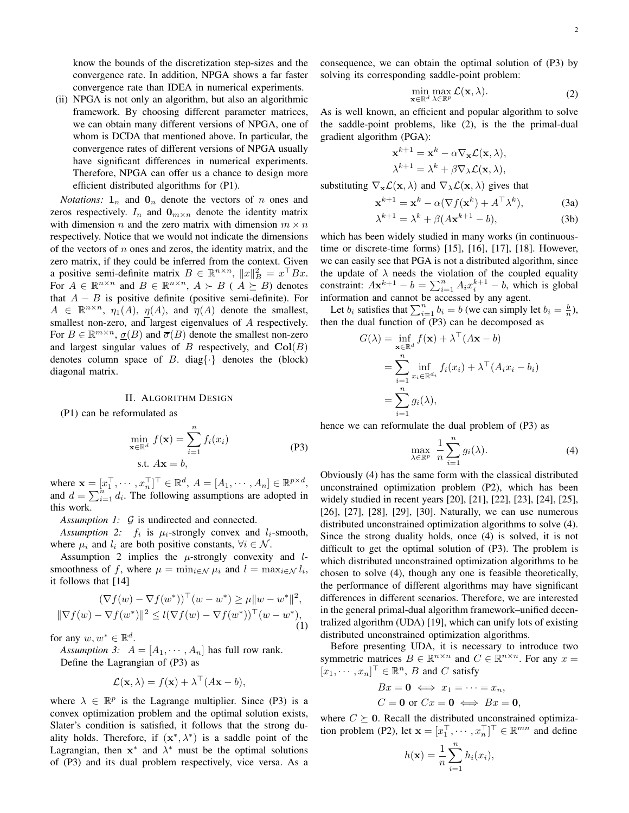know the bounds of the discretization step-sizes and the convergence rate. In addition, NPGA shows a far faster convergence rate than IDEA in numerical experiments.

(ii) NPGA is not only an algorithm, but also an algorithmic framework. By choosing different parameter matrices, we can obtain many different versions of NPGA, one of whom is DCDA that mentioned above. In particular, the convergence rates of different versions of NPGA usually have significant differences in numerical experiments. Therefore, NPGA can offer us a chance to design more efficient distributed algorithms for [\(P1\)](#page-0-0).

*Notations:*  $\mathbf{1}_n$  and  $\mathbf{0}_n$  denote the vectors of n ones and zeros respectively.  $I_n$  and  $\mathbf{0}_{m \times n}$  denote the identity matrix with dimension n and the zero matrix with dimension  $m \times n$ respectively. Notice that we would not indicate the dimensions of the vectors of  $n$  ones and zeros, the identity matrix, and the zero matrix, if they could be inferred from the context. Given a positive semi-definite matrix  $B \in \mathbb{R}^{n \times n}$ ,  $||x||_B^2 = x^{\top}Bx$ . For  $A \in \mathbb{R}^{n \times n}$  and  $B \in \mathbb{R}^{n \times n}$ ,  $A \succ B$  ( $A \succeq B$ ) denotes that  $A - B$  is positive definite (positive semi-definite). For  $A \in \mathbb{R}^{n \times n}$ ,  $\eta_1(A)$ ,  $\eta(A)$ , and  $\overline{\eta}(A)$  denote the smallest, smallest non-zero, and largest eigenvalues of A respectively. For  $B \in \mathbb{R}^{m \times n}$ ,  $\underline{\sigma}(B)$  and  $\overline{\sigma}(B)$  denote the smallest non-zero and largest singular values of  $B$  respectively, and  $Col(B)$ denotes column space of B. diag $\{\cdot\}$  denotes the (block) diagonal matrix.

#### II. ALGORITHM DESIGN

[\(P1\)](#page-0-0) can be reformulated as

<span id="page-1-1"></span>
$$
\min_{\mathbf{x} \in \mathbb{R}^d} f(\mathbf{x}) = \sum_{i=1}^n f_i(x_i)
$$
\ns.t.

\n $A\mathbf{x} = b,$ \n(P3)

where  $\mathbf{x} = [x_1^\top, \cdots, x_n^\top]^\top \in \mathbb{R}^d$ ,  $A = [A_1, \cdots, A_n] \in \mathbb{R}^{p \times d}$ , and  $d = \sum_{i=1}^{n} d_i$ . The following assumptions are adopted in this work.

<span id="page-1-6"></span>*Assumption 1: G* is undirected and connected.

<span id="page-1-0"></span>Assumption 2:  $f_i$  is  $\mu_i$ -strongly convex and  $l_i$ -smooth, where  $\mu_i$  and  $l_i$  are both positive constants,  $\forall i \in \mathcal{N}$ .

Assumption [2](#page-1-0) implies the  $\mu$ -strongly convexity and *l*smoothness of f, where  $\mu = \min_{i \in \mathcal{N}} \mu_i$  and  $l = \max_{i \in \mathcal{N}} l_i$ , it follows that [\[14\]](#page-10-13)

$$
(\nabla f(w) - \nabla f(w^*))^{\top} (w - w^*) \ge \mu \|w - w^*\|^2,
$$
  

$$
\|\nabla f(w) - \nabla f(w^*)\|^2 \le l(\nabla f(w) - \nabla f(w^*))^{\top} (w - w^*),
$$
  
(1)

for any  $w, w^* \in \mathbb{R}^d$ .

<span id="page-1-5"></span>*Assumption 3:*  $A = [A_1, \cdots, A_n]$  has full row rank. Define the Lagrangian of [\(P3\)](#page-1-1) as

<span id="page-1-2"></span>
$$
\mathcal{L}(\mathbf{x}, \lambda) = f(\mathbf{x}) + \lambda^{\top} (A\mathbf{x} - b),
$$

where  $\lambda \in \mathbb{R}^p$  is the Lagrange multiplier. Since [\(P3\)](#page-1-1) is a convex optimization problem and the optimal solution exists, Slater's condition is satisfied, it follows that the strong duality holds. Therefore, if  $(x^*, \lambda^*)$  is a saddle point of the Lagrangian, then  $x^*$  and  $\lambda^*$  must be the optimal solutions of [\(P3\)](#page-1-1) and its dual problem respectively, vice versa. As a consequence, we can obtain the optimal solution of [\(P3\)](#page-1-1) by solving its corresponding saddle-point problem:

$$
\min_{\mathbf{x} \in \mathbb{R}^d} \max_{\lambda \in \mathbb{R}^p} \mathcal{L}(\mathbf{x}, \lambda).
$$
 (2)

As is well known, an efficient and popular algorithm to solve the saddle-point problems, like [\(2\)](#page-1-2), is the the primal-dual gradient algorithm (PGA):

$$
\mathbf{x}^{k+1} = \mathbf{x}^k - \alpha \nabla_{\mathbf{x}} \mathcal{L}(\mathbf{x}, \lambda),
$$

$$
\lambda^{k+1} = \lambda^k + \beta \nabla_{\lambda} \mathcal{L}(\mathbf{x}, \lambda),
$$

substituting  $\nabla_{\mathbf{x}} \mathcal{L}(\mathbf{x}, \lambda)$  and  $\nabla_{\lambda} \mathcal{L}(\mathbf{x}, \lambda)$  gives that

$$
\mathbf{x}^{k+1} = \mathbf{x}^k - \alpha(\nabla f(\mathbf{x}^k) + A^\top \lambda^k), \tag{3a}
$$

$$
\lambda^{k+1} = \lambda^k + \beta(A\mathbf{x}^{k+1} - b),\tag{3b}
$$

which has been widely studied in many works (in continuoustime or discrete-time forms) [\[15\]](#page-10-14), [\[16\]](#page-10-15), [\[17\]](#page-10-16), [\[18\]](#page-10-17). However, we can easily see that PGA is not a distributed algorithm, since the update of  $\lambda$  needs the violation of the coupled equality constraint:  $A\mathbf{x}^{k+1} - b = \sum_{i=1}^{n} A_i x_i^{k+1} - b$ , which is global information and cannot be accessed by any agent.

Let  $b_i$  satisfies that  $\sum_{i=1}^n b_i = b$  (we can simply let  $b_i = \frac{b}{n}$ ), then the dual function of [\(P3\)](#page-1-1) can be decomposed as

$$
G(\lambda) = \inf_{\mathbf{x} \in \mathbb{R}^d} f(\mathbf{x}) + \lambda^\top (A\mathbf{x} - b)
$$
  
= 
$$
\sum_{i=1}^n \inf_{x_i \in \mathbb{R}^{d_i}} f_i(x_i) + \lambda^\top (A_i x_i - b_i)
$$
  
= 
$$
\sum_{i=1}^n g_i(\lambda),
$$

hence we can reformulate the dual problem of [\(P3\)](#page-1-1) as

<span id="page-1-3"></span>
$$
\max_{\lambda \in \mathbb{R}^p} \frac{1}{n} \sum_{i=1}^n g_i(\lambda). \tag{4}
$$

Obviously [\(4\)](#page-1-3) has the same form with the classical distributed unconstrained optimization problem [\(P2\)](#page-0-0), which has been widely studied in recent years [\[20\]](#page-10-18), [\[21\]](#page-10-19), [\[22\]](#page-10-20), [\[23\]](#page-10-21), [\[24\]](#page-10-22), [\[25\]](#page-10-23), [\[26\]](#page-10-24), [\[27\]](#page-10-25), [\[28\]](#page-10-26), [\[29\]](#page-10-27), [\[30\]](#page-10-28). Naturally, we can use numerous distributed unconstrained optimization algorithms to solve [\(4\)](#page-1-3). Since the strong duality holds, once [\(4\)](#page-1-3) is solved, it is not difficult to get the optimal solution of [\(P3\)](#page-1-1). The problem is which distributed unconstrained optimization algorithms to be chosen to solve [\(4\)](#page-1-3), though any one is feasible theoretically, the performance of different algorithms may have significant differences in different scenarios. Therefore, we are interested in the general primal-dual algorithm framework–unified decentralized algorithm (UDA) [\[19\]](#page-10-29), which can unify lots of existing distributed unconstrained optimization algorithms.

Before presenting UDA, it is necessary to introduce two symmetric matrices  $B \in \mathbb{R}^{n \times n}$  and  $C \in \mathbb{R}^{n \times n}$ . For any  $x =$  $[x_1, \cdots, x_n]^\top \in \mathbb{R}^n$ , *B* and *C* satisfy

<span id="page-1-4"></span>
$$
Bx = \mathbf{0} \iff x_1 = \dots = x_n,
$$
  

$$
C = \mathbf{0} \text{ or } Cx = \mathbf{0} \iff Bx = \mathbf{0},
$$

where  $C \succeq 0$ . Recall the distributed unconstrained optimiza-tion problem [\(P2\)](#page-0-0), let  $\mathbf{x} = [x_1^\top, \dots, x_n^\top]^\top \in \mathbb{R}^{mn}$  and define

$$
h(\mathbf{x}) = \frac{1}{n} \sum_{i=1}^{n} h_i(x_i),
$$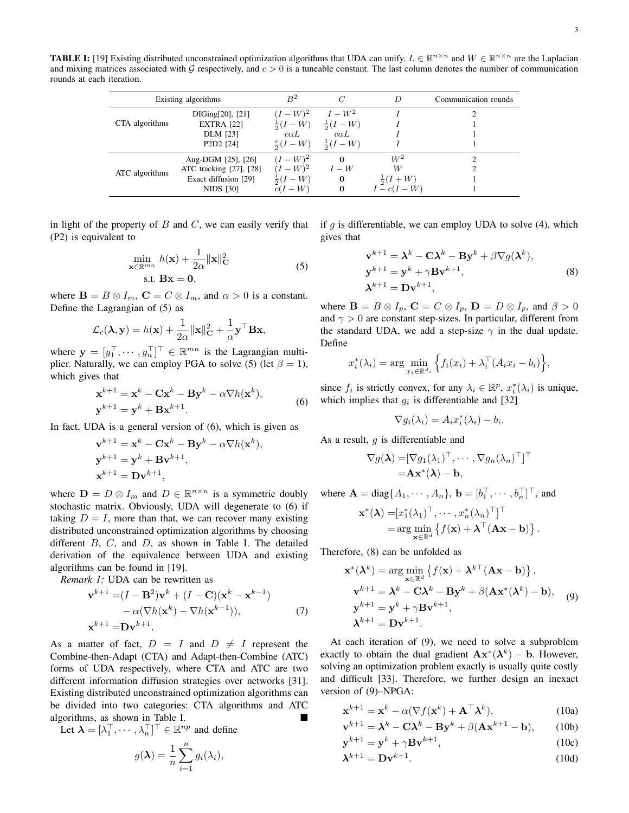<span id="page-2-1"></span>**TABLE I:** [\[19\]](#page-10-29) Existing distributed unconstrained optimization algorithms that UDA can unify.  $L \in \mathbb{R}^{n \times n}$  and  $W \in \mathbb{R}^{n \times n}$  are the Laplacian and mixing matrices associated with  $G$  respectively, and  $c > 0$  is a tuneable constant. The last column denotes the number of communication rounds at each iteration.

| Existing algorithms |                                                                                    | B <sup>2</sup>                                                 | $\overline{C}$                                                      |                                                    | Communication rounds |
|---------------------|------------------------------------------------------------------------------------|----------------------------------------------------------------|---------------------------------------------------------------------|----------------------------------------------------|----------------------|
| CTA algorithms      | DIGing[20], [21]<br><b>EXTRA</b> [22]<br><b>DLM</b> [23]                           | $(I - W)^2$<br>$c\alpha L$                                     | $I-W^2$<br>$\frac{1}{2}(I - W) = \frac{1}{2}(I - W)$<br>$c\alpha L$ |                                                    |                      |
|                     | P <sub>2</sub> D <sub>2</sub> [24]                                                 | $\frac{c}{2}(I-W)$                                             | $\frac{1}{2}(I-W)$                                                  |                                                    |                      |
| ATC algorithms      | Aug-DGM [25], [26]<br>ATC tracking [27], [28]<br>Exact diffusion [29]<br>NIDS [30] | $(I - W)^2$<br>$(I - W)^2$<br>$\frac{1}{2}(I-W)$<br>$c(I - W)$ | $\bf{0}$<br>$I - W$<br>0<br>$\bf{0}$                                | $W^2$<br>W<br>$\frac{1}{2}(I+W)$<br>$I - c(I - W)$ |                      |

in light of the property of  $B$  and  $C$ , we can easily verify that [\(P2\)](#page-0-0) is equivalent to

<span id="page-2-0"></span>
$$
\min_{\mathbf{x} \in \mathbb{R}^{mn}} h(\mathbf{x}) + \frac{1}{2\alpha} ||\mathbf{x}||_{\mathbf{C}}^2
$$
\n
$$
\text{s.t. } \mathbf{B}\mathbf{x} = \mathbf{0},
$$
\n(5)

where  $\mathbf{B} = B \otimes I_m$ ,  $\mathbf{C} = C \otimes I_m$ , and  $\alpha > 0$  is a constant. Define the Lagrangian of [\(5\)](#page-1-4) as

$$
\mathcal{L}_c(\lambda, \mathbf{y}) = h(\mathbf{x}) + \frac{1}{2\alpha} ||\mathbf{x}||_{\mathbf{C}}^2 + \frac{1}{\alpha} \mathbf{y}^\top \mathbf{B} \mathbf{x},
$$

where  $\mathbf{y} = [y_1^\top, \cdots, y_n^\top]^\top \in \mathbb{R}^{mn}$  is the Lagrangian multi-plier. Naturally, we can employ PGA to solve [\(5\)](#page-1-4) (let  $\beta = 1$ ), which gives that

$$
\mathbf{x}^{k+1} = \mathbf{x}^k - \mathbf{C}\mathbf{x}^k - \mathbf{B}\mathbf{y}^k - \alpha \nabla h(\mathbf{x}^k),
$$
  
\n
$$
\mathbf{y}^{k+1} = \mathbf{y}^k + \mathbf{B}\mathbf{x}^{k+1}.
$$
\n(6)

In fact, UDA is a general version of [\(6\)](#page-2-0), which is given as

$$
\mathbf{v}^{k+1} = \mathbf{x}^k - \mathbf{C}\mathbf{x}^k - \mathbf{B}\mathbf{y}^k - \alpha \nabla h(\mathbf{x}^k),
$$
  

$$
\mathbf{y}^{k+1} = \mathbf{y}^k + \mathbf{B}\mathbf{v}^{k+1},
$$
  

$$
\mathbf{x}^{k+1} = \mathbf{D}\mathbf{v}^{k+1},
$$

where  $\mathbf{D} = D \otimes I_m$  and  $D \in \mathbb{R}^{n \times n}$  is a symmetric doubly stochastic matrix. Obviously, UDA will degenerate to [\(6\)](#page-2-0) if taking  $D = I$ , more than that, we can recover many existing distributed unconstrained optimization algorithms by choosing different  $B, C,$  and  $D,$  as shown in Table [I.](#page-2-1) The detailed derivation of the equivalence between UDA and existing algorithms can be found in [\[19\]](#page-10-29).

*Remark 1:* UDA can be rewritten as

$$
\mathbf{v}^{k+1} = (I - \mathbf{B}^2)\mathbf{v}^k + (I - \mathbf{C})(\mathbf{x}^k - \mathbf{x}^{k-1})
$$
  
-  $\alpha(\nabla h(\mathbf{x}^k) - \nabla h(\mathbf{x}^{k-1})),$  (7)  

$$
\mathbf{x}^{k+1} = \mathbf{D}\mathbf{v}^{k+1}.
$$

As a matter of fact,  $D = I$  and  $D \neq I$  represent the Combine-then-Adapt (CTA) and Adapt-then-Combine (ATC) forms of UDA respectively, where CTA and ATC are two different information diffusion strategies over networks [\[31\]](#page-10-30). Existing distributed unconstrained optimization algorithms can be divided into two categories: CTA algorithms and ATC algorithms, as shown in Table [I.](#page-2-1)

Let  $\boldsymbol{\lambda} = [\lambda_1^\top, \cdots, \lambda_n^\top]^\top \in \mathbb{R}^{np}$  and define

$$
g(\lambda) = \frac{1}{n} \sum_{i=1}^{n} g_i(\lambda_i),
$$

if  $q$  is differentiable, we can employ UDA to solve [\(4\)](#page-1-3), which gives that

<span id="page-2-2"></span>
$$
\mathbf{v}^{k+1} = \boldsymbol{\lambda}^k - \mathbf{C}\boldsymbol{\lambda}^k - \mathbf{B}\mathbf{y}^k + \beta \nabla g(\boldsymbol{\lambda}^k),
$$
  
\n
$$
\mathbf{y}^{k+1} = \mathbf{y}^k + \gamma \mathbf{B}\mathbf{v}^{k+1},
$$
  
\n
$$
\boldsymbol{\lambda}^{k+1} = \mathbf{D}\mathbf{v}^{k+1},
$$
\n(8)

where  $\mathbf{B} = B \otimes I_p$ ,  $\mathbf{C} = C \otimes I_p$ ,  $\mathbf{D} = D \otimes I_p$ , and  $\beta > 0$ and  $\gamma > 0$  are constant step-sizes. In particular, different from the standard UDA, we add a step-size  $\gamma$  in the dual update. Define

$$
x_i^*(\lambda_i) = \arg\min_{x_i \in \mathbb{R}^{d_i}} \left\{ f_i(x_i) + \lambda_i^{\top} (A_i x_i - b_i) \right\},\
$$

since  $f_i$  is strictly convex, for any  $\lambda_i \in \mathbb{R}^p$ ,  $x_i^*(\lambda_i)$  is unique, which implies that  $g_i$  is differentiable and [\[32\]](#page-10-31)

<span id="page-2-3"></span>
$$
\nabla g_i(\lambda_i) = A_i x_i^*(\lambda_i) - b_i.
$$

As a result,  $q$  is differentiable and

$$
\nabla g(\boldsymbol{\lambda}) = [\nabla g_1(\lambda_1)^\top, \cdots, \nabla g_n(\lambda_n)^\top]^\top = \mathbf{A} \mathbf{x}^*(\boldsymbol{\lambda}) - \mathbf{b},
$$

where  $\mathbf{A} = \text{diag}\{A_1, \dots, A_n\}, \mathbf{b} = [b_1^\top, \dots, b_n^\top]^\top$ , and

$$
\mathbf{x}^*(\boldsymbol{\lambda}) = [x_1^*(\lambda_1)^\top, \cdots, x_n^*(\lambda_n)^\top]^\top
$$
  
= arg min<sub>**x** \in \mathbb{R}^d</sub> { $f(\mathbf{x}) + \boldsymbol{\lambda}^\top (\mathbf{A}\mathbf{x} - \mathbf{b})$  }.

Therefore, [\(8\)](#page-2-2) can be unfolded as

$$
\mathbf{x}^*(\boldsymbol{\lambda}^k) = \arg \min_{\mathbf{x} \in \mathbb{R}^d} \left\{ f(\mathbf{x}) + \boldsymbol{\lambda}^{k\top} (\mathbf{A}\mathbf{x} - \mathbf{b}) \right\},
$$
  

$$
\mathbf{v}^{k+1} = \boldsymbol{\lambda}^k - \mathbf{C}\boldsymbol{\lambda}^k - \mathbf{B}\mathbf{y}^k + \beta(\mathbf{A}\mathbf{x}^*(\boldsymbol{\lambda}^k) - \mathbf{b}),
$$
 (9)  

$$
\mathbf{y}^{k+1} = \mathbf{y}^k + \gamma \mathbf{B}\mathbf{v}^{k+1},
$$
  

$$
\boldsymbol{\lambda}^{k+1} = \mathbf{D}\mathbf{v}^{k+1}.
$$

At each iteration of [\(9\)](#page-2-3), we need to solve a subproblem exactly to obtain the dual gradient  $\mathbf{A}\mathbf{x}^*(\lambda^k) - \mathbf{b}$ . However, solving an optimization problem exactly is usually quite costly and difficult [\[33\]](#page-10-32). Therefore, we further design an inexact version of [\(9\)](#page-2-3)–NPGA:

$$
\mathbf{x}^{k+1} = \mathbf{x}^k - \alpha (\nabla f(\mathbf{x}^k) + \mathbf{A}^\top \boldsymbol{\lambda}^k),\tag{10a}
$$

$$
\mathbf{v}^{k+1} = \mathbf{\lambda}^k - \mathbf{C}\mathbf{\lambda}^k - \mathbf{B}\mathbf{y}^k + \beta(\mathbf{A}\mathbf{x}^{k+1} - \mathbf{b}),\qquad(10b)
$$

$$
\mathbf{y}^{k+1} = \mathbf{y}^k + \gamma \mathbf{B} \mathbf{v}^{k+1},\tag{10c}
$$

$$
\lambda^{k+1} = \mathbf{D} \mathbf{v}^{k+1}.\tag{10d}
$$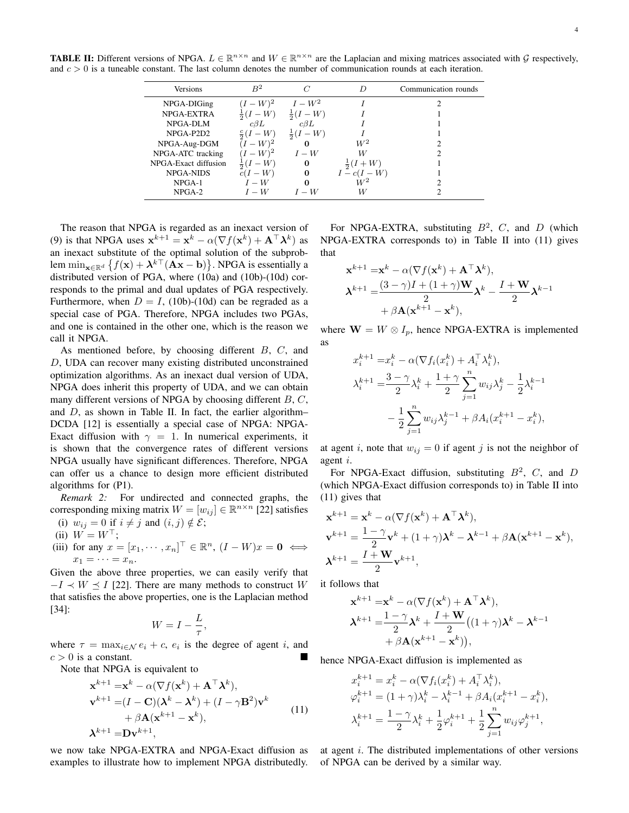<span id="page-3-0"></span>**TABLE II:** Different versions of NPGA.  $L \in \mathbb{R}^{n \times n}$  and  $W \in \mathbb{R}^{n \times n}$  are the Laplacian and mixing matrices associated with  $\mathcal{G}$  respectively, and  $c > 0$  is a tuneable constant. The last column denotes the number of communication rounds at each iteration.

| Versions             | B <sup>2</sup>     |                         | D              | Communication rounds |
|----------------------|--------------------|-------------------------|----------------|----------------------|
| NPGA-DIGing          | $-W^2$             | $I-W^2$                 |                |                      |
| NPGA-EXTRA           |                    | $-W$<br>$rac{1}{2}$ (1) |                |                      |
| NPGA-DLM             | $c\beta L$         | $c\beta L$              |                |                      |
| NPGA-P2D2            | $\frac{c}{2}(I-W)$ | W                       |                |                      |
| NPGA-Aug-DGM         | $-W)^2$            |                         | $W^2$          |                      |
| NPGA-ATC tracking    | $-W$ <sup>2</sup>  | $I-W$                   | W              |                      |
| NPGA-Exact diffusion | W                  | 0                       | $(I+W)$        |                      |
| <b>NPGA-NIDS</b>     | $c(I - W)$         | 0                       | $I - c(I - W)$ |                      |
| $NPGA-1$             | $I-W$              |                         | W2             |                      |
| $NPGA-2$             | $I-W$              | $I - W$                 | W              |                      |

The reason that NPGA is regarded as an inexact version of [\(9\)](#page-2-3) is that NPGA uses  $\mathbf{x}^{k+1} = \mathbf{x}^k - \alpha(\nabla f(\mathbf{x}^k) + \mathbf{A}^\top \boldsymbol{\lambda}^k)$  as an inexact substitute of the optimal solution of the subproblem  $\min_{\mathbf{x} \in \mathbb{R}^d} \left\{ f(\mathbf{x}) + \boldsymbol{\lambda}^{k \top} (\mathbf{A} \mathbf{x} - \mathbf{b}) \right\}$ . NPGA is essentially a distributed version of PGA, where [\(10a\)](#page-1-1) and [\(10b\)](#page-1-2)-[\(10d\)](#page-1-3) corresponds to the primal and dual updates of PGA respectively. Furthermore, when  $D = I$ , [\(10b\)](#page-1-2)-[\(10d\)](#page-1-3) can be regraded as a special case of PGA. Therefore, NPGA includes two PGAs, and one is contained in the other one, which is the reason we call it NPGA.

As mentioned before, by choosing different B, C, and D, UDA can recover many existing distributed unconstrained optimization algorithms. As an inexact dual version of UDA, NPGA does inherit this property of UDA, and we can obtain many different versions of NPGA by choosing different  $B, C$ , and  $D$ , as shown in Table [II.](#page-3-0) In fact, the earlier algorithm– DCDA [\[12\]](#page-10-11) is essentially a special case of NPGA: NPGA-Exact diffusion with  $\gamma = 1$ . In numerical experiments, it is shown that the convergence rates of different versions NPGA usually have significant differences. Therefore, NPGA can offer us a chance to design more efficient distributed algorithms for [\(P1\)](#page-0-0).

<span id="page-3-2"></span>*Remark 2:* For undirected and connected graphs, the corresponding mixing matrix  $W = [w_{ij}] \in \mathbb{R}^{n \times n}$  [\[22\]](#page-10-20) satisfies

(i) 
$$
w_{ij} = 0
$$
 if  $i \neq j$  and  $(i, j) \notin \mathcal{E}$ ;

- (ii)  $W = W^{\top}$ ;
- (iii) for any  $x = [x_1, \dots, x_n]^\top \in \mathbb{R}^n$ ,  $(I W)x = \mathbf{0} \iff$  $x_1 = \cdots = x_n.$

Given the above three properties, we can easily verify that  $-I \prec W \preceq I$  [\[22\]](#page-10-20). There are many methods to construct W that satisfies the above properties, one is the Laplacian method [\[34\]](#page-10-33):

<span id="page-3-1"></span>
$$
W = I - \frac{L}{\tau},
$$

where  $\tau = \max_{i \in \mathcal{N}} e_i + c$ ,  $e_i$  is the degree of agent i, and  $c > 0$  is a constant.

Note that NPGA is equivalent to

$$
\mathbf{x}^{k+1} = \mathbf{x}^k - \alpha(\nabla f(\mathbf{x}^k) + \mathbf{A}^\top \mathbf{\lambda}^k),
$$
  
\n
$$
\mathbf{v}^{k+1} = (I - \mathbf{C})(\mathbf{\lambda}^k - \mathbf{\lambda}^k) + (I - \gamma \mathbf{B}^2)\mathbf{v}^k + \beta \mathbf{A}(\mathbf{x}^{k+1} - \mathbf{x}^k),
$$
  
\n
$$
\mathbf{\lambda}^{k+1} = \mathbf{D}\mathbf{v}^{k+1},
$$
\n(11)

we now take NPGA-EXTRA and NPGA-Exact diffusion as examples to illustrate how to implement NPGA distributedly.

For NPGA-EXTRA, substituting  $B^2$ , C, and D (which NPGA-EXTRA corresponds to) in Table [II](#page-3-0) into [\(11\)](#page-3-1) gives that

$$
\mathbf{x}^{k+1} = \mathbf{x}^k - \alpha (\nabla f(\mathbf{x}^k) + \mathbf{A}^\top \boldsymbol{\lambda}^k),
$$
  

$$
\boldsymbol{\lambda}^{k+1} = \frac{(3-\gamma)I + (1+\gamma)\mathbf{W}}{2} \boldsymbol{\lambda}^k - \frac{I + \mathbf{W}}{2} \boldsymbol{\lambda}^{k-1} + \beta \mathbf{A}(\mathbf{x}^{k+1} - \mathbf{x}^k),
$$

where  $\mathbf{W} = W \otimes I_p$ , hence NPGA-EXTRA is implemented as

$$
x_i^{k+1} = x_i^k - \alpha (\nabla f_i(x_i^k) + A_i^\top \lambda_i^k),
$$
  
\n
$$
\lambda_i^{k+1} = \frac{3 - \gamma}{2} \lambda_i^k + \frac{1 + \gamma}{2} \sum_{j=1}^n w_{ij} \lambda_j^k - \frac{1}{2} \lambda_i^{k-1}
$$
  
\n
$$
- \frac{1}{2} \sum_{j=1}^n w_{ij} \lambda_j^{k-1} + \beta A_i (x_i^{k+1} - x_i^k),
$$

at agent i, note that  $w_{ij} = 0$  if agent j is not the neighbor of agent i.

For NPGA-Exact diffusion, substituting  $B^2$ , C, and D (which NPGA-Exact diffusion corresponds to) in Table [II](#page-3-0) into [\(11\)](#page-3-1) gives that

$$
\mathbf{x}^{k+1} = \mathbf{x}^k - \alpha (\nabla f(\mathbf{x}^k) + \mathbf{A}^\top \mathbf{\lambda}^k),
$$
  
\n
$$
\mathbf{v}^{k+1} = \frac{1 - \gamma}{2} \mathbf{v}^k + (1 + \gamma) \mathbf{\lambda}^k - \mathbf{\lambda}^{k-1} + \beta \mathbf{A} (\mathbf{x}^{k+1} - \mathbf{x}^k),
$$
  
\n
$$
\mathbf{\lambda}^{k+1} = \frac{I + \mathbf{W}}{2} \mathbf{v}^{k+1},
$$

it follows that

$$
\mathbf{x}^{k+1} = \mathbf{x}^k - \alpha(\nabla f(\mathbf{x}^k) + \mathbf{A}^\top \boldsymbol{\lambda}^k),
$$
  

$$
\boldsymbol{\lambda}^{k+1} = \frac{1-\gamma}{2}\boldsymbol{\lambda}^k + \frac{I+\mathbf{W}}{2}((1+\gamma)\boldsymbol{\lambda}^k - \boldsymbol{\lambda}^{k-1}) + \beta \mathbf{A}(\mathbf{x}^{k+1} - \mathbf{x}^k)),
$$

hence NPGA-Exact diffusion is implemented as

$$
x_i^{k+1} = x_i^k - \alpha(\nabla f_i(x_i^k) + A_i^{\top} \lambda_i^k),
$$
  
\n
$$
\varphi_i^{k+1} = (1 + \gamma)\lambda_i^k - \lambda_i^{k-1} + \beta A_i(x_i^{k+1} - x_i^k),
$$
  
\n
$$
\lambda_i^{k+1} = \frac{1 - \gamma}{2}\lambda_i^k + \frac{1}{2}\varphi_i^{k+1} + \frac{1}{2}\sum_{j=1}^n w_{ij}\varphi_j^{k+1},
$$

at agent i. The distributed implementations of other versions of NPGA can be derived by a similar way.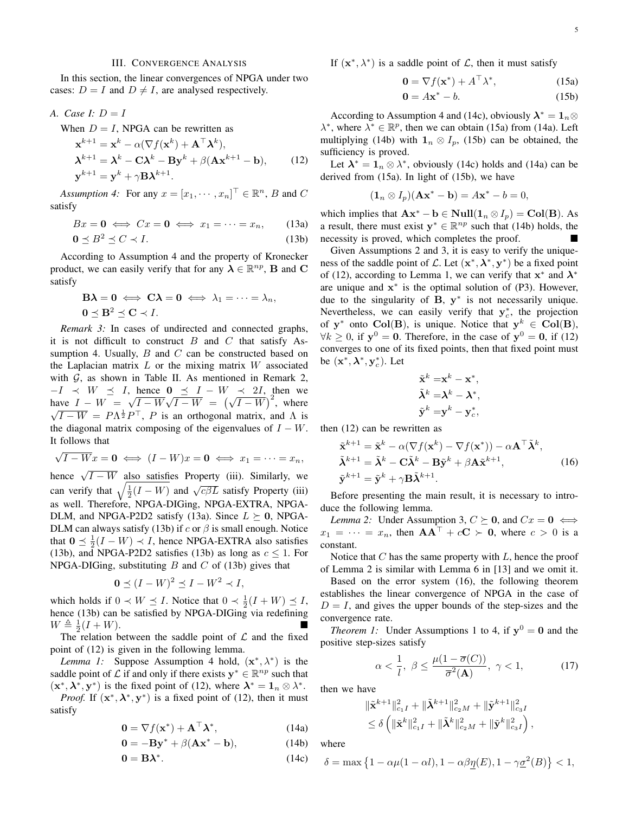#### III. CONVERGENCE ANALYSIS

In this section, the linear convergences of NPGA under two cases:  $D = I$  and  $D \neq I$ , are analysed respectively.

A. Case I: 
$$
D = I
$$

When  $D = I$ , NPGA can be rewritten as

$$
\mathbf{x}^{k+1} = \mathbf{x}^k - \alpha(\nabla f(\mathbf{x}^k) + \mathbf{A}^\top \mathbf{\lambda}^k),
$$
  
\n
$$
\mathbf{\lambda}^{k+1} = \mathbf{\lambda}^k - \mathbf{C}\mathbf{\lambda}^k - \mathbf{B}\mathbf{y}^k + \beta(\mathbf{A}\mathbf{x}^{k+1} - \mathbf{b}),
$$
 (12)  
\n
$$
\mathbf{y}^{k+1} = \mathbf{y}^k + \gamma \mathbf{B}\mathbf{\lambda}^{k+1}.
$$

<span id="page-4-0"></span>Assumption 4: For any  $x = [x_1, \dots, x_n]^\top \in \mathbb{R}^n$ , *B* and *C* satisfy

$$
Bx = \mathbf{0} \iff Cx = \mathbf{0} \iff x_1 = \dots = x_n, \qquad (13a)
$$

$$
0 \le B^2 \le C \prec I. \tag{13b}
$$

According to Assumption [4](#page-4-0) and the property of Kronecker product, we can easily verify that for any  $\lambda \in \mathbb{R}^{np}$ , **B** and **C** satisfy

$$
\mathbf{B}\boldsymbol{\lambda} = \mathbf{0} \iff \mathbf{C}\boldsymbol{\lambda} = \mathbf{0} \iff \lambda_1 = \cdots = \lambda_n,
$$
  

$$
\mathbf{0} \preceq \mathbf{B}^2 \preceq \mathbf{C} \prec I.
$$

*Remark 3:* In cases of undirected and connected graphs, it is not difficult to construct  $B$  and  $C$  that satisfy As-sumption [4.](#page-4-0) Usually,  $B$  and  $C$  can be constructed based on the Laplacian matrix  $L$  or the mixing matrix  $W$  associated with  $G$ , as shown in Table [II.](#page-3-0) As mentioned in Remark [2,](#page-3-2)  $-I \prec W \preceq I$ , hence  $0 \preceq I - W \prec 2I$ , then we have  $I - W =$ √  $I - W$  $^{\circ}$  $I - W = \sqrt{I - W} \sqrt{I - W} = (\sqrt{I - W})^2$ , where  $\overline{I-W} = P\Lambda^{\frac{1}{2}}P^{\top}$ , P is an orthogonal matrix, and  $\Lambda$  is the diagonal matrix composing of the eigenvalues of  $I - W$ . It follows that √

$$
\sqrt{I - Wx} = \mathbf{0} \iff (I - W)x = \mathbf{0} \iff x_1 = \cdots = x_n,
$$

hence  $\sqrt{I - W}$  also satisfies Property (iii). Similarly, we can verify that  $\sqrt{\frac{1}{2}(I - W)}$  and  $\sqrt{c\beta L}$  satisfy Property (iii) as well. Therefore, NPGA-DIGing, NPGA-EXTRA, NPGA-DLM, and NPGA-P2D2 satisfy [\(13a\)](#page-4-1). Since  $L \succeq 0$ , NPGA-DLM can always satisfy [\(13b\)](#page-4-2) if c or  $\beta$  is small enough. Notice that  $0 \leq \frac{1}{2}(I - W) \prec I$ , hence NPGA-EXTRA also satisfies [\(13b\)](#page-4-2), and NPGA-P2D2 satisfies (13b) as long as  $c \leq 1$ . For NPGA-DIGing, substituting  $B$  and  $C$  of [\(13b\)](#page-4-2) gives that

$$
0 \preceq (I - W)^2 \preceq I - W^2 \prec I,
$$

which holds if  $0 \lt W \leq I$ . Notice that  $0 \lt \frac{1}{2}(I + W) \leq I$ , hence [\(13b\)](#page-4-2) can be satisfied by NPGA-DIGing via redefining  $W \triangleq \frac{1}{2}(I + W).$ 

The relation between the saddle point of  $\mathcal L$  and the fixed point of [\(12\)](#page-4-3) is given in the following lemma.

<span id="page-4-5"></span>*Lemma 1:* Suppose Assumption [4](#page-4-0) hold,  $(x^*, \lambda^*)$  is the saddle point of L if and only if there exists  $y^* \in \mathbb{R}^{np}$  such that  $(\mathbf{x}^*, \boldsymbol{\lambda}^*, \mathbf{y}^*)$  is the fixed point of [\(12\)](#page-4-3), where  $\boldsymbol{\lambda}^* = \mathbf{1}_n \otimes \lambda^*$ .

*Proof.* If  $(x^*, \lambda^*, y^*)$  is a fixed point of [\(12\)](#page-4-3), then it must satisfy

$$
\mathbf{0} = \nabla f(\mathbf{x}^*) + \mathbf{A}^\top \boldsymbol{\lambda}^*,\tag{14a}
$$

$$
\mathbf{0} = -\mathbf{B}\mathbf{y}^* + \beta(\mathbf{A}\mathbf{x}^* - \mathbf{b}),\tag{14b}
$$

$$
0 = B\lambda^*.
$$
 (14c)

If  $(x^*, \lambda^*)$  is a saddle point of  $\mathcal{L}$ , then it must satisfy

$$
\mathbf{0} = \nabla f(\mathbf{x}^*) + A^\top \lambda^*,\tag{15a}
$$

<span id="page-4-7"></span>
$$
\mathbf{0} = A\mathbf{x}^* - b. \tag{15b}
$$

<span id="page-4-3"></span>According to Assumption [4](#page-4-0) and [\(14c\)](#page-4-4), obviously  $\lambda^* = 1_n \otimes$  $\lambda^*$ , where  $\lambda^* \in \mathbb{R}^p$ , then we can obtain [\(15a\)](#page-4-1) from [\(14a\)](#page-4-1). Left multiplying [\(14b\)](#page-4-2) with  $\mathbf{1}_n \otimes I_p$ , [\(15b\)](#page-4-2) can be obtained, the sufficiency is proved.

Let  $\lambda^* = 1_n \otimes \lambda^*$ , obviously [\(14c\)](#page-4-4) holds and [\(14a\)](#page-4-1) can be derived from [\(15a\)](#page-4-1). In light of [\(15b\)](#page-4-2), we have

$$
(\mathbf{1}_n \otimes I_p)(\mathbf{A}\mathbf{x}^* - \mathbf{b}) = A\mathbf{x}^* - b = 0,
$$

<span id="page-4-2"></span><span id="page-4-1"></span>which implies that  $\mathbf{A}\mathbf{x}^* - \mathbf{b} \in \text{Null}(1_n \otimes I_p) = \text{Col}(\mathbf{B})$ . As a result, there must exist  $y^* \in \mathbb{R}^{np}$  such that [\(14b\)](#page-4-2) holds, the necessity is proved, which completes the proof.

Given Assumptions [2](#page-1-0) and [3,](#page-1-5) it is easy to verify the uniqueness of the saddle point of  $\mathcal{L}$ . Let  $(\mathbf{x}^*, \boldsymbol{\lambda}^*, \mathbf{y}^*)$  be a fixed point of [\(12\)](#page-4-3), according to Lemma [1,](#page-4-5) we can verify that  $x^*$  and  $\lambda^*$ are unique and  $x^*$  is the optimal solution of [\(P3\)](#page-1-1). However, due to the singularity of  $B$ ,  $y^*$  is not necessarily unique. Nevertheless, we can easily verify that  $y_c^*$ , the projection of  $y^*$  onto Col(B), is unique. Notice that  $y^k \in Col(B)$ ,  $\forall k \geq 0$ , if  $y^0 = 0$ . Therefore, in the case of  $y^0 = 0$ , if [\(12\)](#page-4-3) converges to one of its fixed points, then that fixed point must be  $(\mathbf{x}^*, \boldsymbol{\lambda}^*, \mathbf{y}_c^*)$ . Let

$$
\tilde{\mathbf{x}}^k = \mathbf{x}^k - \mathbf{x}^*,
$$
  

$$
\tilde{\boldsymbol{\lambda}}^k = \boldsymbol{\lambda}^k - \boldsymbol{\lambda}^*,
$$
  

$$
\tilde{\mathbf{y}}^k = \mathbf{y}^k - \mathbf{y}_c^*,
$$

then [\(12\)](#page-4-3) can be rewritten as

<span id="page-4-6"></span>
$$
\tilde{\mathbf{x}}^{k+1} = \tilde{\mathbf{x}}^k - \alpha(\nabla f(\mathbf{x}^k) - \nabla f(\mathbf{x}^*)) - \alpha \mathbf{A}^\top \tilde{\mathbf{\lambda}}^k,
$$
\n
$$
\tilde{\mathbf{\lambda}}^{k+1} = \tilde{\mathbf{\lambda}}^k - \mathbf{C}\tilde{\mathbf{\lambda}}^k - \mathbf{B}\tilde{\mathbf{y}}^k + \beta \mathbf{A}\tilde{\mathbf{x}}^{k+1},
$$
\n
$$
\tilde{\mathbf{y}}^{k+1} = \tilde{\mathbf{y}}^k + \gamma \mathbf{B}\tilde{\mathbf{\lambda}}^{k+1}.
$$
\n(16)

Before presenting the main result, it is necessary to introduce the following lemma.

*Lemma 2:* Under Assumption [3,](#page-1-5)  $C \succeq 0$ , and  $Cx = 0 \iff$  $x_1 = \cdots = x_n$ , then  $AA^{\top} + cC > 0$ , where  $c > 0$  is a constant.

Notice that  $C$  has the same property with  $L$ , hence the proof of Lemma [2](#page-4-6) is similar with Lemma 6 in [\[13\]](#page-10-12) and we omit it.

Based on the error system [\(16\)](#page-4-7), the following theorem establishes the linear convergence of NPGA in the case of  $D = I$ , and gives the upper bounds of the step-sizes and the convergence rate.

<span id="page-4-10"></span>*Theorem [1](#page-1-6):* Under Assumptions 1 to [4,](#page-4-0) if  $y^0 = 0$  and the positive step-sizes satisfy

<span id="page-4-8"></span>
$$
\alpha < \frac{1}{l}, \ \beta \le \frac{\mu(1 - \overline{\sigma}(C))}{\overline{\sigma}^2(\mathbf{A})}, \ \gamma < 1,\tag{17}
$$

then we have

<span id="page-4-9"></span>
$$
\begin{aligned} & \|\tilde{\mathbf{x}}^{k+1}\|_{c_1I}^2 + \|\tilde{\boldsymbol{\lambda}}^{k+1}\|_{c_2M}^2 + \|\tilde{\mathbf{y}}^{k+1}\|_{c_3I}^2 \\ & \leq \delta \left( \|\tilde{\mathbf{x}}^k\|_{c_1I}^2 + \|\tilde{\boldsymbol{\lambda}}^k\|_{c_2M}^2 + \|\tilde{\mathbf{y}}^k\|_{c_3I}^2 \right), \end{aligned}
$$

<span id="page-4-4"></span>where

$$
\delta = \max\left\{1 - \alpha\mu(1 - \alpha l), 1 - \alpha\beta \underline{\eta}(E), 1 - \gamma \underline{\sigma}^2(B)\right\} < 1,
$$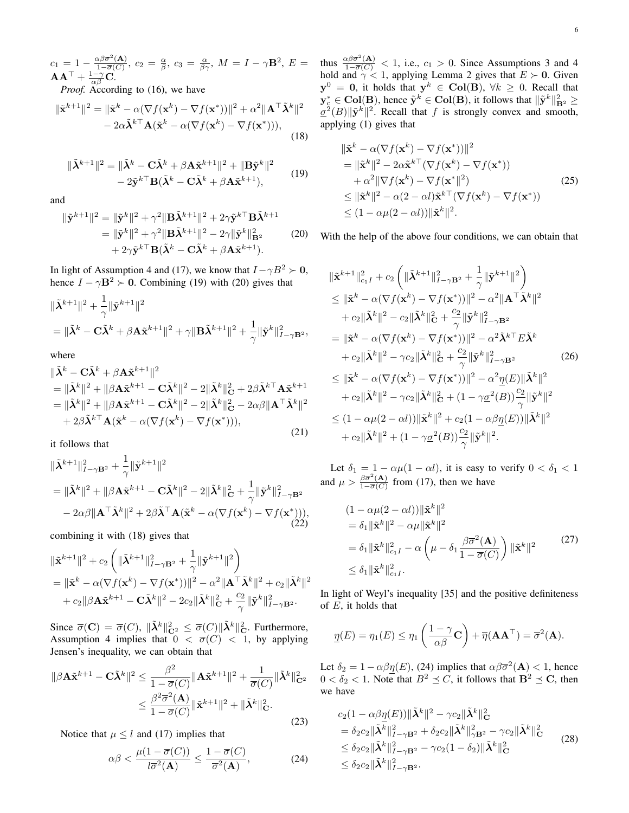$c_1 = 1 - \frac{\alpha \beta \overline{\sigma}^2(\mathbf{A})}{1 - \overline{\sigma}(C)}$  $\frac{\alpha\beta\overline{\sigma}^2(\mathbf{A})}{1-\overline{\sigma}(C)},\ c_2\,=\,\frac{\alpha}{\beta},\ c_3\,=\,\frac{\alpha}{\beta\gamma},\ M\,=\,I-\gamma\mathbf{B}^2,\ E\,=\,1$  $\mathbf{A}\mathbf{A}^{\top}+\frac{1-\gamma}{\alpha\beta}\mathbf{C}.$ 

*Proof.* According to [\(16\)](#page-4-7), we have

$$
\|\tilde{\mathbf{x}}^{k+1}\|^2 = \|\tilde{\mathbf{x}}^k - \alpha(\nabla f(\mathbf{x}^k) - \nabla f(\mathbf{x}^*))\|^2 + \alpha^2 \|\mathbf{A}^\top \tilde{\mathbf{\lambda}}^k\|^2 - 2\alpha \tilde{\mathbf{\lambda}}^{k\top} \mathbf{A} (\tilde{\mathbf{x}}^k - \alpha(\nabla f(\mathbf{x}^k) - \nabla f(\mathbf{x}^*))),
$$
\n(18)

<span id="page-5-0"></span>
$$
\|\tilde{\boldsymbol{\lambda}}^{k+1}\|^2 = \|\tilde{\boldsymbol{\lambda}}^k - \mathbf{C}\tilde{\boldsymbol{\lambda}}^k + \beta \mathbf{A}\tilde{\mathbf{x}}^{k+1}\|^2 + \|\mathbf{B}\tilde{\mathbf{y}}^k\|^2 - 2\tilde{\mathbf{y}}^{k \top} \mathbf{B}(\tilde{\boldsymbol{\lambda}}^k - \mathbf{C}\tilde{\boldsymbol{\lambda}}^k + \beta \mathbf{A}\tilde{\mathbf{x}}^{k+1}),
$$
\n(19)

<span id="page-5-1"></span>and

$$
\begin{split} \|\tilde{\mathbf{y}}^{k+1}\|^2 &= \|\tilde{\mathbf{y}}^k\|^2 + \gamma^2 \|\mathbf{B}\tilde{\mathbf{\lambda}}^{k+1}\|^2 + 2\gamma \tilde{\mathbf{y}}^{k\top} \mathbf{B}\tilde{\mathbf{\lambda}}^{k+1} \\ &= \|\tilde{\mathbf{y}}^k\|^2 + \gamma^2 \|\mathbf{B}\tilde{\mathbf{\lambda}}^{k+1}\|^2 - 2\gamma \|\tilde{\mathbf{y}}^k\|^2_{\mathbf{B}^2} \\ &+ 2\gamma \tilde{\mathbf{y}}^{k\top} \mathbf{B}(\tilde{\mathbf{\lambda}}^k - \mathbf{C}\tilde{\mathbf{\lambda}}^k + \beta \mathbf{A}\tilde{\mathbf{x}}^{k+1}). \end{split} \tag{20}
$$

In light of Assumption [4](#page-4-0) and [\(17\)](#page-4-8), we know that  $I - \gamma B^2 \succ 0$ , hence  $I - \gamma \mathbf{B}^2 \succ 0$ . Combining [\(19\)](#page-5-0) with [\(20\)](#page-5-1) gives that

$$
\begin{aligned} & \|\tilde{\boldsymbol{\lambda}}^{k+1}\|^2+\frac{1}{\gamma}\|\tilde{\mathbf{y}}^{k+1}\|^2 \\ &= \|\tilde{\boldsymbol{\lambda}}^k-\mathbf{C}\tilde{\boldsymbol{\lambda}}^k+\beta\mathbf{A}\tilde{\mathbf{x}}^{k+1}\|^2+\gamma\|\mathbf{B}\tilde{\boldsymbol{\lambda}}^{k+1}\|^2+\frac{1}{\gamma}\|\tilde{\mathbf{y}}^k\|^2_{I-\gamma\mathbf{B}^2}, \end{aligned}
$$

where

$$
\begin{split} &\|\tilde{\boldsymbol{\lambda}}^{k} - \mathbf{C}\tilde{\boldsymbol{\lambda}}^{k} + \beta \mathbf{A}\tilde{\mathbf{x}}^{k+1}\|^{2} \\ &= \|\tilde{\boldsymbol{\lambda}}^{k}\|^{2} + \|\beta \mathbf{A}\tilde{\mathbf{x}}^{k+1} - \mathbf{C}\tilde{\boldsymbol{\lambda}}^{k}\|^{2} - 2\|\tilde{\boldsymbol{\lambda}}^{k}\|_{\mathbf{C}}^{2} + 2\beta \tilde{\boldsymbol{\lambda}}^{k+1} \mathbf{A}\tilde{\mathbf{x}}^{k+1} \\ &= \|\tilde{\boldsymbol{\lambda}}^{k}\|^{2} + \|\beta \mathbf{A}\tilde{\mathbf{x}}^{k+1} - \mathbf{C}\tilde{\boldsymbol{\lambda}}^{k}\|^{2} - 2\|\tilde{\boldsymbol{\lambda}}^{k}\|_{\mathbf{C}}^{2} - 2\alpha\beta \|\mathbf{A}^{\top}\tilde{\boldsymbol{\lambda}}^{k}\|^{2} \\ &+ 2\beta \tilde{\boldsymbol{\lambda}}^{k\top} \mathbf{A}(\tilde{\mathbf{x}}^{k} - \alpha(\nabla f(\mathbf{x}^{k}) - \nabla f(\mathbf{x}^{*}))), \end{split} \tag{21}
$$

it follows that

$$
\begin{split} & \|\tilde{\boldsymbol{\lambda}}^{k+1}\|_{I-\gamma \mathbf{B}^2}^2 + \frac{1}{\gamma} \|\tilde{\mathbf{y}}^{k+1}\|^2 \\ & = \|\tilde{\boldsymbol{\lambda}}^k\|^2 + \|\beta \mathbf{A}\tilde{\mathbf{x}}^{k+1} - \mathbf{C}\tilde{\boldsymbol{\lambda}}^k\|^2 - 2\|\tilde{\boldsymbol{\lambda}}^k\|_{\mathbf{C}}^2 + \frac{1}{\gamma} \|\tilde{\mathbf{y}}^k\|_{I-\gamma \mathbf{B}^2}^2 \\ & - 2\alpha\beta \|\mathbf{A}^\top \tilde{\boldsymbol{\lambda}}^k\|^2 + 2\beta \tilde{\boldsymbol{\lambda}}^\top \mathbf{A} (\tilde{\mathbf{x}}^k - \alpha(\nabla f(\mathbf{x}^k) - \nabla f(\mathbf{x}^*))), \end{split} \tag{22}
$$

combining it with [\(18\)](#page-4-9) gives that

$$
\begin{split} & \|\tilde{\mathbf{x}}^{k+1}\|^2 + c_2\left(\|\tilde{\boldsymbol{\lambda}}^{k+1}\|_{I-\gamma\mathbf{B}^2}^2 + \frac{1}{\gamma}\|\tilde{\mathbf{y}}^{k+1}\|^2\right) \\ &= \|\tilde{\mathbf{x}}^k - \alpha(\nabla f(\mathbf{x}^k) - \nabla f(\mathbf{x}^*))\|^2 - \alpha^2\|\mathbf{A}^\top\tilde{\boldsymbol{\lambda}}^k\|^2 + c_2\|\tilde{\boldsymbol{\lambda}}^k\|^2 \\ & + c_2\|\beta\mathbf{A}\tilde{\mathbf{x}}^{k+1} - \mathbf{C}\tilde{\boldsymbol{\lambda}}^k\|^2 - 2c_2\|\tilde{\boldsymbol{\lambda}}^k\|^2_{\mathbf{C}} + \frac{c_2}{\gamma}\|\tilde{\mathbf{y}}^k\|^2_{I-\gamma\mathbf{B}^2}. \end{split}
$$

Since  $\overline{\sigma}(\mathbf{C}) = \overline{\sigma}(C)$ ,  $\|\tilde{\boldsymbol{\lambda}}^k\|_{\mathbf{C}^2}^2 \leq \overline{\sigma}(C) \|\tilde{\boldsymbol{\lambda}}^k\|_{\mathbf{C}}^2$ . Furthermore, Assumption [4](#page-4-0) implies that  $0 < \overline{\sigma}(C) < 1$ , by applying Jensen's inequality, we can obtain that

$$
\|\beta \mathbf{A}\tilde{\mathbf{x}}^{k+1} - \mathbf{C}\tilde{\boldsymbol{\lambda}}^k\|^2 \le \frac{\beta^2}{1 - \overline{\sigma}(C)} \|\mathbf{A}\tilde{\mathbf{x}}^{k+1}\|^2 + \frac{1}{\overline{\sigma}(C)} \|\tilde{\boldsymbol{\lambda}}^k\|^2_{\mathbf{C}^2}
$$

$$
\le \frac{\beta^2 \overline{\sigma}^2(\mathbf{A})}{1 - \overline{\sigma}(C)} \|\tilde{\mathbf{x}}^{k+1}\|^2 + \|\tilde{\boldsymbol{\lambda}}^k\|^2_{\mathbf{C}}.
$$
(23)

Notice that  $\mu \leq l$  and [\(17\)](#page-4-8) implies that

$$
\alpha\beta < \frac{\mu(1 - \overline{\sigma}(C))}{l\overline{\sigma}^2(\mathbf{A})} \le \frac{1 - \overline{\sigma}(C)}{\overline{\sigma}^2(\mathbf{A})},\tag{24}
$$

thus  $\frac{\alpha\beta\overline{\sigma}^2(A)}{1-\overline{\sigma}(C)} < 1$ , i.e.,  $c_1 > 0$ . Since Assumptions [3](#page-1-5) and [4](#page-4-0) hold and  $\gamma$  < 1, applying Lemma [2](#page-4-6) gives that  $E \succ 0$ . Given  $y^0 = 0$ , it holds that  $y^k \in Col(B)$ ,  $\forall k \ge 0$ . Recall that  $\mathbf{y}_{c}^{*} \in \text{Col}(\mathbf{B})$ , hence  $\tilde{\mathbf{y}}^{k} \in \text{Col}(\mathbf{B})$ , it follows that  $\|\tilde{\mathbf{y}}^{k}\|_{\mathbf{B}^{2}}^{2} \geq$  $\underline{\sigma}^2(B)\Vert \tilde{\mathbf{y}}^k \Vert^2$ . Recall that f is strongly convex and smooth, applying [\(1\)](#page-1-1) gives that

<span id="page-5-7"></span>
$$
\begin{split} \|\tilde{\mathbf{x}}^{k} - \alpha(\nabla f(\mathbf{x}^{k}) - \nabla f(\mathbf{x}^{*}))\|^{2} \\ &= \|\tilde{\mathbf{x}}^{k}\|^{2} - 2\alpha \tilde{\mathbf{x}}^{k\top}(\nabla f(\mathbf{x}^{k}) - \nabla f(\mathbf{x}^{*})) \\ &+ \alpha^{2} \|\nabla f(\mathbf{x}^{k}) - \nabla f(\mathbf{x}^{*}\|^{2}) \\ &\leq \|\tilde{\mathbf{x}}^{k}\|^{2} - \alpha(2 - \alpha l)\tilde{\mathbf{x}}^{k\top}(\nabla f(\mathbf{x}^{k}) - \nabla f(\mathbf{x}^{*})) \\ &\leq (1 - \alpha \mu(2 - \alpha l)) \|\tilde{\mathbf{x}}^{k}\|^{2} .\end{split} \tag{25}
$$

<span id="page-5-3"></span>With the help of the above four conditions, we can obtain that

<span id="page-5-5"></span>
$$
\begin{split}\n\|\tilde{\mathbf{x}}^{k+1}\|_{c_{1}I}^{2} + c_{2} \left( \|\tilde{\mathbf{\lambda}}^{k+1}\|_{I-\gamma\mathbf{B}^{2}}^{2} + \frac{1}{\gamma} \|\tilde{\mathbf{y}}^{k+1}\|^{2} \right) \\
&\leq \|\tilde{\mathbf{x}}^{k} - \alpha (\nabla f(\mathbf{x}^{k}) - \nabla f(\mathbf{x}^{*}))\|^{2} - \alpha^{2} \|\mathbf{A}^{\top} \tilde{\mathbf{\lambda}}^{k}\|^{2} \\
&+ c_{2} \|\tilde{\mathbf{\lambda}}^{k}\|^{2} - c_{2} \|\tilde{\mathbf{\lambda}}^{k}\|_{\mathbf{C}}^{2} + \frac{c_{2}}{\gamma} \|\tilde{\mathbf{y}}^{k}\|_{I-\gamma\mathbf{B}^{2}}^{2} \\
&= \|\tilde{\mathbf{x}}^{k} - \alpha (\nabla f(\mathbf{x}^{k}) - \nabla f(\mathbf{x}^{*}))\|^{2} - \alpha^{2} \tilde{\mathbf{\lambda}}^{k \top} E \tilde{\mathbf{\lambda}}^{k} \\
&+ c_{2} \|\tilde{\mathbf{\lambda}}^{k}\|^{2} - \gamma c_{2} \|\tilde{\mathbf{\lambda}}^{k}\|_{\mathbf{C}}^{2} + \frac{c_{2}}{\gamma} \|\tilde{\mathbf{y}}^{k}\|_{I-\gamma\mathbf{B}^{2}}^{2} \n\end{split} \tag{26}
$$
\n
$$
\leq \|\tilde{\mathbf{x}}^{k} - \alpha (\nabla f(\mathbf{x}^{k}) - \nabla f(\mathbf{x}^{*}))\|^{2} - \alpha^{2} \underline{\eta}(E) \|\tilde{\mathbf{\lambda}}^{k}\|^{2} \\
&+ c_{2} \|\tilde{\mathbf{\lambda}}^{k}\|^{2} - \gamma c_{2} \|\tilde{\mathbf{\lambda}}^{k}\|_{\mathbf{C}}^{2} + (1 - \gamma \underline{\sigma}^{2}(B)) \frac{c_{2}}{\gamma} \|\tilde{\mathbf{y}}^{k}\|^{2} \\
&\leq (1 - \alpha \mu (2 - \alpha l)) \|\tilde{\mathbf{x}}^{k}\|^{2} + c_{2} (1 - \alpha \beta \underline{\eta}(E)) \|\tilde{\mathbf{\lambda}}^{k}\|^{2} \\
&+ c_{2} \|\tilde{\mathbf{\lambda}}^{k}\|^{2} + (1 - \gamma
$$

Let  $\delta_1 = 1 - \alpha \mu (1 - \alpha l)$ , it is easy to verify  $0 < \delta_1 < 1$ and  $\mu > \frac{\beta \overline{\sigma}^2(\mathbf{A})}{1-\overline{\sigma}(C)}$  $\frac{\beta \sigma$  (A) from [\(17\)](#page-4-8), then we have

<span id="page-5-8"></span>
$$
(1 - \alpha \mu (2 - \alpha l)) \|\tilde{\mathbf{x}}^{k}\|^2
$$
  
=  $\delta_1 \|\tilde{\mathbf{x}}^{k}\|^2 - \alpha \mu \|\tilde{\mathbf{x}}^{k}\|^2$   
=  $\delta_1 \|\tilde{\mathbf{x}}^{k}\|^2_{c_1 I} - \alpha \left(\mu - \delta_1 \frac{\beta \overline{\sigma}^2(\mathbf{A})}{1 - \overline{\sigma}(C)}\right) \|\tilde{\mathbf{x}}^{k}\|^2$   
 $\leq \delta_1 \|\tilde{\mathbf{x}}^{k}\|^2_{c_1 I}.$  (27)

<span id="page-5-6"></span>In light of Weyl's inequality [\[35\]](#page-10-34) and the positive definiteness of  $E$ , it holds that

$$
\underline{\eta}(E) = \eta_1(E) \le \eta_1\left(\frac{1-\gamma}{\alpha\beta}\mathbf{C}\right) + \overline{\eta}(\mathbf{A}\mathbf{A}^\top) = \overline{\sigma}^2(\mathbf{A}).
$$

Let  $\delta_2 = 1 - \alpha \beta \eta(E)$ , [\(24\)](#page-5-2) implies that  $\alpha \beta \overline{\sigma}^2(A) < 1$ , hence  $0 < \delta_2 < 1$ . Note that  $B^2 \preceq C$ , it follows that  $\mathbf{B}^2 \preceq \mathbf{C}$ , then we have

<span id="page-5-4"></span><span id="page-5-2"></span>
$$
c_2(1 - \alpha\beta\underline{\eta}(E))\|\tilde{\boldsymbol{\lambda}}^k\|^2 - \gamma c_2\|\tilde{\boldsymbol{\lambda}}^k\|^2_{\mathbf{C}}
$$
  
\n
$$
= \delta_2 c_2\|\tilde{\boldsymbol{\lambda}}^k\|^2_{I-\gamma\mathbf{B}^2} + \delta_2 c_2\|\tilde{\boldsymbol{\lambda}}^k\|^2_{\gamma\mathbf{B}^2} - \gamma c_2\|\tilde{\boldsymbol{\lambda}}^k\|^2_{\mathbf{C}}
$$
  
\n
$$
\leq \delta_2 c_2\|\tilde{\boldsymbol{\lambda}}^k\|^2_{I-\gamma\mathbf{B}^2} - \gamma c_2(1 - \delta_2)\|\tilde{\boldsymbol{\lambda}}^k\|^2_{\mathbf{C}}
$$
  
\n
$$
\leq \delta_2 c_2\|\tilde{\boldsymbol{\lambda}}^k\|^2_{I-\gamma\mathbf{B}^2}.
$$
\n(28)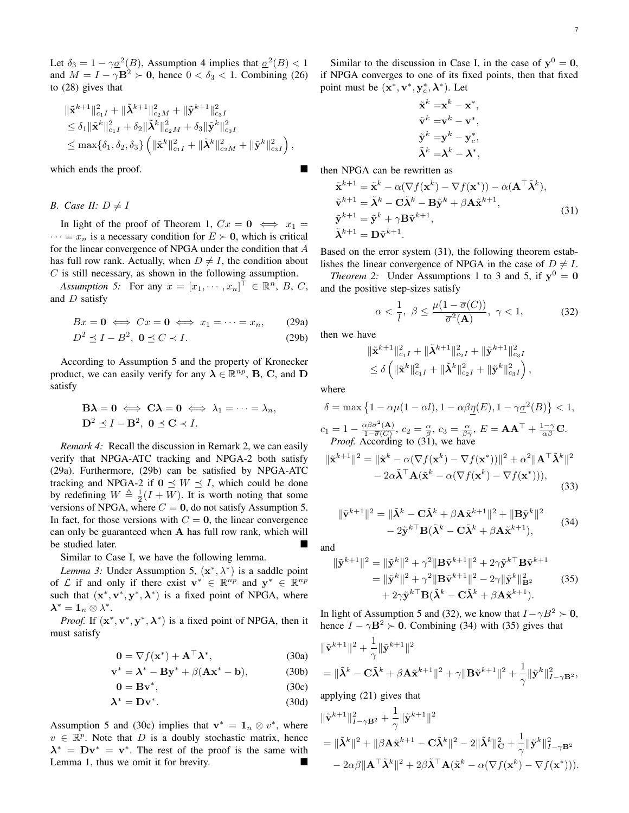Let  $\delta_3 = 1 - \gamma \underline{\sigma}^2(B)$ , Assumption [4](#page-4-0) implies that  $\underline{\sigma}^2(B) < 1$ and  $M = I - \gamma \mathbf{B}^2 \succ \mathbf{0}$ , hence  $0 < \delta_3 < 1$ . Combining [\(26\)](#page-5-3) to [\(28\)](#page-5-4) gives that

$$
\begin{aligned} & \|\tilde{\mathbf{x}}^{k+1}\|_{c_1I}^2 + \|\tilde{\boldsymbol{\lambda}}^{k+1}\|_{c_2M}^2 + \|\tilde{\mathbf{y}}^{k+1}\|_{c_3I}^2 \\ & \leq \delta_1 \|\tilde{\mathbf{x}}^k\|_{c_1I}^2 + \delta_2 \|\tilde{\boldsymbol{\lambda}}^k\|_{c_2M}^2 + \delta_3 \|\tilde{\mathbf{y}}^k\|_{c_3I}^2 \\ & \leq \max\{\delta_1, \delta_2, \delta_3\} \left( \|\tilde{\mathbf{x}}^k\|_{c_1I}^2 + \|\tilde{\boldsymbol{\lambda}}^k\|_{c_2M}^2 + \|\tilde{\mathbf{y}}^k\|_{c_3I}^2 \right) \end{aligned}
$$

which ends the proof.

*B.* Case *II:*  $D \neq I$ 

In light of the proof of Theorem [1,](#page-4-10)  $Cx = 0 \iff x_1 =$  $\cdots = x_n$  is a necessary condition for  $E \succ 0$ , which is critical for the linear convergence of NPGA under the condition that A has full row rank. Actually, when  $D \neq I$ , the condition about  $C$  is still necessary, as shown in the following assumption.

Assumption 5: For any  $x = [x_1, \dots, x_n]^\top \in \mathbb{R}^n$ , B, C, and D satisfy

$$
Bx = \mathbf{0} \iff Cx = \mathbf{0} \iff x_1 = \dots = x_n, \qquad (29a)
$$

$$
D^2 \preceq I - B^2, \ \mathbf{0} \preceq C \prec I. \tag{29b}
$$

According to Assumption [5](#page-6-0) and the property of Kronecker product, we can easily verify for any  $\lambda \in \mathbb{R}^{np}$ , **B**, **C**, and **D** satisfy

$$
\mathbf{B}\boldsymbol{\lambda} = \mathbf{0} \iff \mathbf{C}\boldsymbol{\lambda} = \mathbf{0} \iff \lambda_1 = \cdots = \lambda_n,
$$
  

$$
\mathbf{D}^2 \preceq I - \mathbf{B}^2, \ \mathbf{0} \preceq \mathbf{C} \prec I.
$$

<span id="page-6-7"></span>*Remark 4:* Recall the discussion in Remark [2,](#page-3-2) we can easily verify that NPGA-ATC tracking and NPGA-2 both satisfy [\(29a\)](#page-4-1). Furthermore, [\(29b\)](#page-4-2) can be satisfied by NPGA-ATC tracking and NPGA-2 if  $0 \leq W \leq I$ , which could be done by redefining  $W \triangleq \frac{1}{2}(I + W)$ . It is worth noting that some versions of NPGA, where  $C = 0$ , do not satisfy Assumption [5.](#page-6-0) In fact, for those versions with  $C = 0$ , the linear convergence can only be guaranteed when A has full row rank, which will be studied later.

Similar to Case I, we have the following lemma.

*Lemma 3:* Under Assumption [5,](#page-6-0)  $(x^*, \lambda^*)$  is a saddle point of L if and only if there exist  $\mathbf{v}^* \in \mathbb{R}^{np}$  and  $\mathbf{y}^* \in \mathbb{R}^{np}$ such that  $(x^*, v^*, y^*, \lambda^*)$  is a fixed point of NPGA, where  $\boldsymbol{\lambda}^* = \boldsymbol{1}_n \otimes \lambda^*.$ 

*Proof.* If  $(x^*, v^*, y^*, \lambda^*)$  is a fixed point of NPGA, then it must satisfy

$$
\mathbf{0} = \nabla f(\mathbf{x}^*) + \mathbf{A}^\top \boldsymbol{\lambda}^*,\tag{30a}
$$

$$
\mathbf{v}^* = \mathbf{\lambda}^* - \mathbf{B}\mathbf{y}^* + \beta(\mathbf{A}\mathbf{x}^* - \mathbf{b}),\tag{30b}
$$

$$
\mathbf{0} = \mathbf{B}\mathbf{v}^*,\tag{30c}
$$

$$
\lambda^* = \mathbf{D} \mathbf{v}^* \tag{30d}
$$

Assumption [5](#page-6-0) and [\(30c\)](#page-4-4) implies that  $\mathbf{v}^* = \mathbf{1}_n \otimes v^*$ , where  $v \in \mathbb{R}^p$ . Note that D is a doubly stochastic matrix, hence  $\lambda^* = Dv^* = v^*$ . The rest of the proof is the same with Lemma [1,](#page-4-5) thus we omit it for brevity.

Similar to the discussion in Case I, in the case of  $y^0 = 0$ , if NPGA converges to one of its fixed points, then that fixed point must be  $(\mathbf{x}^*, \mathbf{v}^*, \mathbf{y}_c^*, \boldsymbol{\lambda}^*)$ . Let

<span id="page-6-1"></span>
$$
\tilde{\mathbf{x}}^k = \mathbf{x}^k - \mathbf{x}^*,
$$
  

$$
\tilde{\mathbf{v}}^k = \mathbf{v}^k - \mathbf{v}^*,
$$
  

$$
\tilde{\mathbf{y}}^k = \mathbf{y}^k - \mathbf{y}_c^*,
$$
  

$$
\tilde{\lambda}^k = \lambda^k - \lambda^*,
$$

then NPGA can be rewritten as

$$
\tilde{\mathbf{x}}^{k+1} = \tilde{\mathbf{x}}^k - \alpha(\nabla f(\mathbf{x}^k) - \nabla f(\mathbf{x}^*)) - \alpha(\mathbf{A}^\top \tilde{\mathbf{\lambda}}^k),
$$
\n
$$
\tilde{\mathbf{v}}^{k+1} = \tilde{\mathbf{\lambda}}^k - \mathbf{C}\tilde{\mathbf{\lambda}}^k - \mathbf{B}\tilde{\mathbf{y}}^k + \beta \mathbf{A}\tilde{\mathbf{x}}^{k+1},
$$
\n
$$
\tilde{\mathbf{y}}^{k+1} = \tilde{\mathbf{y}}^k + \gamma \mathbf{B}\tilde{\mathbf{v}}^{k+1},
$$
\n
$$
\tilde{\mathbf{\lambda}}^{k+1} = \mathbf{D}\tilde{\mathbf{v}}^{k+1}.
$$
\n(31)

Based on the error system [\(31\)](#page-6-1), the following theorem establishes the linear convergence of NPGA in the case of  $D \neq I$ .

<span id="page-6-0"></span>*Theorem 2:* Under Assumptions [1](#page-1-6) to [3](#page-1-5) and [5,](#page-6-0) if  $y^0 = 0$ and the positive step-sizes satisfy

<span id="page-6-8"></span><span id="page-6-5"></span><span id="page-6-2"></span>
$$
\alpha < \frac{1}{l}, \ \beta \le \frac{\mu(1 - \overline{\sigma}(C))}{\overline{\sigma}^2(\mathbf{A})}, \ \gamma < 1,\tag{32}
$$

then we have

$$
\begin{aligned} & \|\tilde{\mathbf{x}}^{k+1}\|_{c_1I}^2 + \|\tilde{\boldsymbol{\lambda}}^{k+1}\|_{c_2I}^2 + \|\tilde{\mathbf{y}}^{k+1}\|_{c_3I}^2 \\ & \leq \delta \left( \|\tilde{\mathbf{x}}^k\|_{c_1I}^2 + \|\tilde{\boldsymbol{\lambda}}^k\|_{c_2I}^2 + \|\tilde{\mathbf{y}}^k\|_{c_3I}^2 \right), \end{aligned}
$$

where

,

$$
\delta = \max \left\{ 1 - \alpha \mu (1 - \alpha l), 1 - \alpha \beta \underline{\eta}(E), 1 - \gamma \underline{\sigma}^2(B) \right\} < 1,
$$
  
\n
$$
c_1 = 1 - \frac{\alpha \beta \overline{\sigma}^2(\mathbf{A})}{1 - \overline{\sigma}(C)}, c_2 = \frac{\alpha}{\beta}, c_3 = \frac{\alpha}{\beta \gamma}, E = \mathbf{A} \mathbf{A}^\top + \frac{1 - \gamma}{\alpha \beta} \mathbf{C}.
$$
  
\n*Proof.* According to (31), we have  
\n
$$
\|\tilde{\mathbf{x}}^{k+1}\|^2 = \|\tilde{\mathbf{x}}^k - \alpha (\nabla f(\mathbf{x}^k) - \nabla f(\mathbf{x}^*))\|^2 + \alpha^2 \|\mathbf{A}^\top \tilde{\mathbf{\lambda}}^k\|^2
$$
\n
$$
- 2\alpha \tilde{\mathbf{\lambda}}^\top \mathbf{A}(\tilde{\mathbf{x}}^k - \alpha (\nabla f(\mathbf{x}^k) - \nabla f(\mathbf{x}^*))), \tag{33}
$$

<span id="page-6-3"></span>
$$
\|\tilde{\mathbf{v}}^{k+1}\|^2 = \|\tilde{\boldsymbol{\lambda}}^k - \mathbf{C}\tilde{\boldsymbol{\lambda}}^k + \beta \mathbf{A}\tilde{\mathbf{x}}^{k+1}\|^2 + \|\mathbf{B}\tilde{\mathbf{y}}^k\|^2 - 2\tilde{\mathbf{y}}^{k \top} \mathbf{B}(\tilde{\boldsymbol{\lambda}}^k - \mathbf{C}\tilde{\boldsymbol{\lambda}}^k + \beta \mathbf{A}\tilde{\mathbf{x}}^{k+1}),
$$
 (34)

and

<span id="page-6-6"></span><span id="page-6-4"></span>
$$
\|\tilde{\mathbf{y}}^{k+1}\|^2 = \|\tilde{\mathbf{y}}^k\|^2 + \gamma^2 \|\mathbf{B}\tilde{\mathbf{v}}^{k+1}\|^2 + 2\gamma \tilde{\mathbf{y}}^{k \top} \mathbf{B}\tilde{\mathbf{v}}^{k+1} \n= \|\tilde{\mathbf{y}}^k\|^2 + \gamma^2 \|\mathbf{B}\tilde{\mathbf{v}}^{k+1}\|^2 - 2\gamma \|\tilde{\mathbf{y}}^k\|^2_{\mathbf{B}^2} \n+ 2\gamma \tilde{\mathbf{y}}^{k \top} \mathbf{B}(\tilde{\boldsymbol{\lambda}}^k - \mathbf{C}\tilde{\boldsymbol{\lambda}}^k + \beta \mathbf{A}\tilde{\mathbf{x}}^{k+1}).
$$
\n(35)

In light of Assumption [5](#page-6-0) and [\(32\)](#page-6-2), we know that  $I - \gamma B^2 \succ 0$ , hence  $I - \gamma \mathbf{B}^2 \succ 0$ . Combining [\(34\)](#page-6-3) with [\(35\)](#page-6-4) gives that

$$
\begin{aligned} & \|\tilde{\mathbf{v}}^{k+1}\|^2+\frac{1}{\gamma}\|\tilde{\mathbf{y}}^{k+1}\|^2\\ &=\|\tilde{\boldsymbol{\lambda}}^k-\mathbf{C}\tilde{\boldsymbol{\lambda}}^k+\beta\mathbf{A}\tilde{\mathbf{x}}^{k+1}\|^2+\gamma\|\mathbf{B}\tilde{\mathbf{v}}^{k+1}\|^2+\frac{1}{\gamma}\|\tilde{\mathbf{y}}^k\|^2_{I-\gamma\mathbf{B}^2}, \end{aligned}
$$

applying [\(21\)](#page-5-5) gives that

$$
\begin{aligned}\n\|\tilde{\mathbf{v}}^{k+1}\|_{I-\gamma\mathbf{B}^2}^2 &+ \frac{1}{\gamma} \|\tilde{\mathbf{y}}^{k+1}\|^2 \\
&= \|\tilde{\boldsymbol{\lambda}}^k\|^2 + \|\beta \mathbf{A}\tilde{\mathbf{x}}^{k+1} - \mathbf{C}\tilde{\boldsymbol{\lambda}}^k\|^2 - 2\|\tilde{\boldsymbol{\lambda}}^k\|_{\mathbf{C}}^2 + \frac{1}{\gamma} \|\tilde{\mathbf{y}}^k\|_{I-\gamma\mathbf{B}^2}^2 \\
&- 2\alpha\beta \|\mathbf{A}^\top \tilde{\boldsymbol{\lambda}}^k\|^2 + 2\beta \tilde{\boldsymbol{\lambda}}^\top \mathbf{A} (\tilde{\mathbf{x}}^k - \alpha(\nabla f(\mathbf{x}^k) - \nabla f(\mathbf{x}^*))).\n\end{aligned}
$$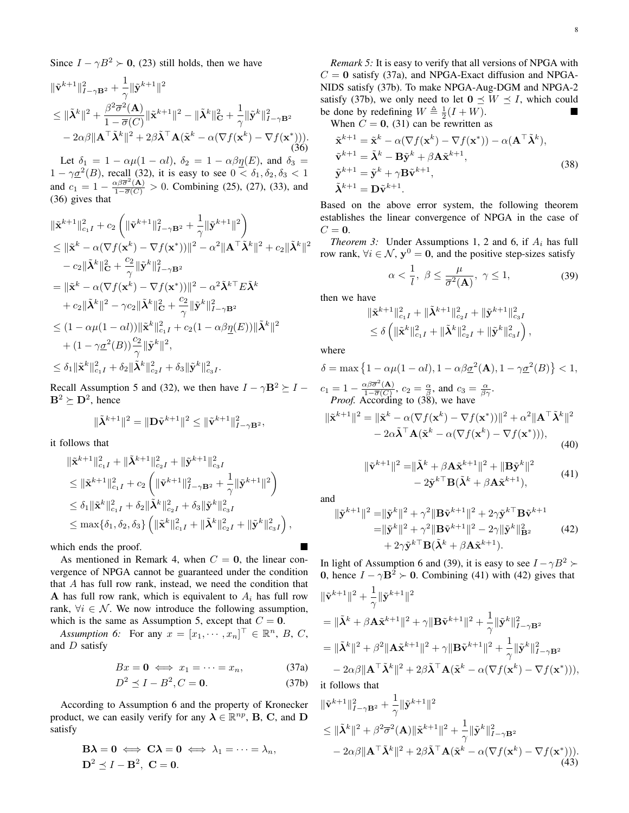Since  $I - \gamma B^2 \succ 0$ , [\(23\)](#page-5-6) still holds, then we have

$$
\begin{split} & \|\tilde{\mathbf{v}}^{k+1}\|_{I-\gamma\mathbf{B}^2}^2 + \frac{1}{\gamma}\|\tilde{\mathbf{y}}^{k+1}\|^2 \\ & \leq \|\tilde{\boldsymbol{\lambda}}^k\|^2 + \frac{\beta^2 \overline{\sigma}^2(\mathbf{A})}{1 - \overline{\sigma}(C)} \|\tilde{\mathbf{x}}^{k+1}\|^2 - \|\tilde{\boldsymbol{\lambda}}^k\|_{\mathbf{C}}^2 + \frac{1}{\gamma}\|\tilde{\mathbf{y}}^k\|_{I-\gamma\mathbf{B}^2}^2 \\ & - 2\alpha\beta \|\mathbf{A}^\top \tilde{\boldsymbol{\lambda}}^k\|^2 + 2\beta \tilde{\boldsymbol{\lambda}}^\top \mathbf{A}(\tilde{\mathbf{x}}^k - \alpha(\nabla f(\mathbf{x}^k) - \nabla f(\mathbf{x}^*))). \end{split} \tag{36}
$$

Let  $\delta_1 = 1 - \alpha \mu (1 - \alpha l)$ ,  $\delta_2 = 1 - \alpha \beta \eta(E)$ , and  $\delta_3 =$  $1 - \gamma \underline{\sigma}^2(B)$ , recall [\(32\)](#page-6-2), it is easy to see  $0 < \delta_1, \delta_2, \delta_3 < 1$ and  $c_1 = 1 - \frac{\alpha \beta \overline{\sigma}^2(\mathbf{A})}{1 - \overline{\sigma}(C)} > 0$ . Combining [\(25\)](#page-5-7), [\(27\)](#page-5-8), [\(33\)](#page-6-5), and [\(36\)](#page-6-6) gives that

$$
\begin{split} & \|\tilde{\mathbf{x}}^{k+1}\|_{c_{1}I}^{2}+c_{2}\left(\|\tilde{\mathbf{v}}^{k+1}\|_{I-\gamma\mathbf{B}^{2}}^{2}+\frac{1}{\gamma}\|\tilde{\mathbf{y}}^{k+1}\|^{2}\right) \\ & \leq \|\tilde{\mathbf{x}}^{k}-\alpha(\nabla f(\mathbf{x}^{k})-\nabla f(\mathbf{x}^{*}))\|^{2}-\alpha^{2}\|\mathbf{A}^{\top}\tilde{\mathbf{\lambda}}^{k}\|^{2}+c_{2}\|\tilde{\mathbf{\lambda}}^{k}\|^{2} \\ & -c_{2}\|\tilde{\mathbf{\lambda}}^{k}\|_{\mathbf{C}}^{2}+\frac{c_{2}}{\gamma}\|\tilde{\mathbf{y}}^{k}\|_{I-\gamma\mathbf{B}^{2}}^{2} \\ &=\|\tilde{\mathbf{x}}^{k}-\alpha(\nabla f(\mathbf{x}^{k})-\nabla f(\mathbf{x}^{*}))\|^{2}-\alpha^{2}\tilde{\mathbf{\lambda}}^{k\top}E\tilde{\mathbf{\lambda}}^{k} \\ & +c_{2}\|\tilde{\mathbf{\lambda}}^{k}\|^{2}-\gamma c_{2}\|\tilde{\mathbf{\lambda}}^{k}\|_{\mathbf{C}}^{2}+\frac{c_{2}}{\gamma}\|\tilde{\mathbf{y}}^{k}\|_{I-\gamma\mathbf{B}^{2}}^{2} \\ & \leq (1-\alpha\mu(1-\alpha l))\|\tilde{\mathbf{x}}^{k}\|_{c_{1}I}^{2}+c_{2}(1-\alpha\beta\underline{\eta}(E))\|\tilde{\mathbf{\lambda}}^{k}\|^{2} \\ & +(1-\gamma\underline{\sigma}^{2}(B))\frac{c_{2}}{\gamma}\|\tilde{\mathbf{y}}^{k}\|^{2}, \\ & \leq \delta_{1}\|\tilde{\mathbf{x}}^{k}\|_{c_{1}I}^{2}+\delta_{2}\|\tilde{\mathbf{\lambda}}^{k}\|_{c_{2}I}^{2}+\delta_{3}\|\tilde{\mathbf{y}}^{k}\|_{c_{3}I}^{2} .\end{split}
$$

Recall Assumption [5](#page-6-0) and [\(32\)](#page-6-2), we then have  $I - \gamma \mathbf{B}^2 \succeq I B^2 \succeq D^2$ , hence

$$
\|\tilde{\boldsymbol{\lambda}}^{k+1}\|^2=\|\mathbf{D}\tilde{\mathbf{v}}^{k+1}\|^2\leq \|\tilde{\mathbf{v}}^{k+1}\|^2_{I-\gamma \mathbf{B}^2},
$$

it follows that

$$
\begin{aligned}\n\|\tilde{\mathbf{x}}^{k+1}\|_{c_1I}^2 + \|\tilde{\boldsymbol{\lambda}}^{k+1}\|_{c_2I}^2 + \|\tilde{\mathbf{y}}^{k+1}\|_{c_3I}^2 \\
&\leq \|\tilde{\mathbf{x}}^{k+1}\|_{c_1I}^2 + c_2 \left( \|\tilde{\mathbf{v}}^{k+1}\|_{I-\gamma \mathbf{B}^2}^2 + \frac{1}{\gamma} \|\tilde{\mathbf{y}}^{k+1}\|^2 \right) \\
&\leq \delta_1 \|\tilde{\mathbf{x}}^k\|_{c_1I}^2 + \delta_2 \|\tilde{\boldsymbol{\lambda}}^k\|_{c_2I}^2 + \delta_3 \|\tilde{\mathbf{y}}^k\|_{c_3I}^2 \\
&\leq \max\{\delta_1, \delta_2, \delta_3\} \left( \|\tilde{\mathbf{x}}^k\|_{c_1I}^2 + \|\tilde{\boldsymbol{\lambda}}^k\|_{c_2I}^2 + \|\tilde{\mathbf{y}}^k\|_{c_3I}^2 \right),\n\end{aligned}
$$

which ends the proof.

As mentioned in Remark [4,](#page-6-7) when  $C = 0$ , the linear convergence of NPGA cannot be guaranteed under the condition that A has full row rank, instead, we need the condition that A has full row rank, which is equivalent to  $A_i$  has full row rank,  $\forall i \in \mathcal{N}$ . We now introduce the following assumption, which is the same as Assumption [5,](#page-6-0) except that  $C = 0$ .

Assumption 6: For any  $x = [x_1, \dots, x_n]^\top \in \mathbb{R}^n$ , B, C, and D satisfy

$$
Bx = \mathbf{0} \iff x_1 = \dots = x_n,\tag{37a}
$$

$$
D^2 \le I - B^2, C = 0.
$$
 (37b)

According to Assumption [6](#page-7-0) and the property of Kronecker product, we can easily verify for any  $\lambda \in \mathbb{R}^{np}$ , **B**, **C**, and **D** satisfy

<span id="page-7-1"></span>
$$
\mathbf{B}\boldsymbol{\lambda} = \mathbf{0} \iff \mathbf{C}\boldsymbol{\lambda} = \mathbf{0} \iff \lambda_1 = \cdots = \lambda_n,
$$
  

$$
\mathbf{D}^2 \preceq I - \mathbf{B}^2, \ \mathbf{C} = \mathbf{0}.
$$

*Remark 5:* It is easy to verify that all versions of NPGA with  $C = 0$  satisfy [\(37a\)](#page-4-1), and NPGA-Exact diffusion and NPGA-NIDS satisfy [\(37b\)](#page-4-2). To make NPGA-Aug-DGM and NPGA-2 satisfy [\(37b\)](#page-4-2), we only need to let  $0 \leq W \leq I$ , which could be done by redefining  $W \triangleq \frac{1}{2}(I + W)$ .

When  $C = 0$ , [\(31\)](#page-6-1) can be rewritten as

$$
\tilde{\mathbf{x}}^{k+1} = \tilde{\mathbf{x}}^k - \alpha(\nabla f(\mathbf{x}^k) - \nabla f(\mathbf{x}^*)) - \alpha(\mathbf{A}^\top \tilde{\mathbf{\lambda}}^k),
$$
\n
$$
\tilde{\mathbf{v}}^{k+1} = \tilde{\mathbf{\lambda}}^k - \mathbf{B}\tilde{\mathbf{y}}^k + \beta \mathbf{A}\tilde{\mathbf{x}}^{k+1},
$$
\n
$$
\tilde{\mathbf{y}}^{k+1} = \tilde{\mathbf{y}}^k + \gamma \mathbf{B}\tilde{\mathbf{v}}^{k+1},
$$
\n
$$
\tilde{\mathbf{\lambda}}^{k+1} = \mathbf{D}\tilde{\mathbf{v}}^{k+1}.
$$
\n(38)

Based on the above error system, the following theorem establishes the linear convergence of NPGA in the case of  $C = 0$ .

<span id="page-7-7"></span>*Theorem 3:* Under Assumptions [1,](#page-1-6) [2](#page-1-0) and [6,](#page-7-0) if  $A_i$  has full row rank,  $\forall i \in \mathcal{N}$ ,  $\mathbf{y}^0 = \mathbf{0}$ , and the positive step-sizes satisfy

<span id="page-7-2"></span>
$$
\alpha < \frac{1}{l}, \ \beta \le \frac{\mu}{\overline{\sigma}^2(\mathbf{A})}, \ \gamma \le 1,\tag{39}
$$

then we have

<span id="page-7-5"></span>
$$
\begin{aligned} & \|\tilde{\mathbf{x}}^{k+1}\|_{c_1I}^2 + \|\tilde{\boldsymbol{\lambda}}^{k+1}\|_{c_2I}^2 + \|\tilde{\mathbf{y}}^{k+1}\|_{c_3I}^2 \\ & \leq \delta \left( \|\tilde{\mathbf{x}}^k\|_{c_1I}^2 + \|\tilde{\boldsymbol{\lambda}}^k\|_{c_2I}^2 + \|\tilde{\mathbf{y}}^k\|_{c_3I}^2 \right), \end{aligned}
$$

where

$$
\delta = \max \left\{ 1 - \alpha \mu (1 - \alpha l), 1 - \alpha \beta \underline{\sigma}^2(\mathbf{A}), 1 - \gamma \underline{\sigma}^2(B) \right\} < 1,
$$
  
\n
$$
c_1 = 1 - \frac{\alpha \beta \overline{\sigma}^2(\mathbf{A})}{1 - \overline{\sigma}(C)}, c_2 = \frac{\alpha}{\beta}, \text{ and } c_3 = \frac{\alpha}{\beta \gamma}.
$$
  
\n*Proof.* According to (38), we have  
\n
$$
\|\tilde{\mathbf{x}}^{k+1}\|^2 = \|\tilde{\mathbf{x}}^k - \alpha (\nabla f(\mathbf{x}^k) - \nabla f(\mathbf{x}^*))\|^2 + \alpha^2 \|\mathbf{A}^\top \tilde{\mathbf{\lambda}}^k\|^2
$$
\n
$$
-2\alpha \tilde{\mathbf{\lambda}}^\top \mathbf{A} (\tilde{\mathbf{x}}^k - \alpha (\nabla f(\mathbf{x}^k) - \nabla f(\mathbf{x}^*))), \tag{40}
$$

<span id="page-7-6"></span><span id="page-7-3"></span>
$$
\|\tilde{\mathbf{v}}^{k+1}\|^2 = \|\tilde{\boldsymbol{\lambda}}^k + \beta \mathbf{A} \tilde{\mathbf{x}}^{k+1}\|^2 + \|\mathbf{B} \tilde{\mathbf{y}}^k\|^2 - 2\tilde{\mathbf{y}}^{k \top} \mathbf{B} (\tilde{\boldsymbol{\lambda}}^k + \beta \mathbf{A} \tilde{\mathbf{x}}^{k+1}),
$$
(41)

<span id="page-7-4"></span>and

$$
\|\tilde{\mathbf{y}}^{k+1}\|^2 = \|\tilde{\mathbf{y}}^k\|^2 + \gamma^2 \|\mathbf{B}\tilde{\mathbf{v}}^{k+1}\|^2 + 2\gamma \tilde{\mathbf{y}}^{k \top} \mathbf{B}\tilde{\mathbf{v}}^{k+1} \n= \|\tilde{\mathbf{y}}^k\|^2 + \gamma^2 \|\mathbf{B}\tilde{\mathbf{v}}^{k+1}\|^2 - 2\gamma \|\tilde{\mathbf{y}}^k\|^2_{\mathbf{B}^2} \n+ 2\gamma \tilde{\mathbf{y}}^{k \top} \mathbf{B}(\tilde{\boldsymbol{\lambda}}^k + \beta \mathbf{A}\tilde{\mathbf{x}}^{k+1}).
$$
\n(42)

In light of Assumption [6](#page-7-0) and [\(39\)](#page-7-2), it is easy to see  $I - \gamma B^2$  ≻ **0**, hence  $I - \gamma \mathbf{B}^2 \succ 0$ . Combining [\(41\)](#page-7-3) with [\(42\)](#page-7-4) gives that

<span id="page-7-0"></span>
$$
\begin{split}\n\|\tilde{\mathbf{v}}^{k+1}\|^2 &+ \frac{1}{\gamma} \|\tilde{\mathbf{y}}^{k+1}\|^2 \\
&= \|\tilde{\mathbf{\lambda}}^k + \beta \mathbf{A} \tilde{\mathbf{x}}^{k+1}\|^2 + \gamma \|\mathbf{B} \tilde{\mathbf{v}}^{k+1}\|^2 + \frac{1}{\gamma} \|\tilde{\mathbf{y}}^k\|_{I-\gamma \mathbf{B}^2}^2 \\
&= \|\tilde{\mathbf{\lambda}}^k\|^2 + \beta^2 \|\mathbf{A} \tilde{\mathbf{x}}^{k+1}\|^2 + \gamma \|\mathbf{B} \tilde{\mathbf{v}}^{k+1}\|^2 + \frac{1}{\gamma} \|\tilde{\mathbf{y}}^k\|_{I-\gamma \mathbf{B}^2}^2 \\
&- 2\alpha\beta \|\mathbf{A}^\top \tilde{\mathbf{\lambda}}^k\|^2 + 2\beta \tilde{\mathbf{\lambda}}^\top \mathbf{A} (\tilde{\mathbf{x}}^k - \alpha(\nabla f(\mathbf{x}^k) - \nabla f(\mathbf{x}^*))),\n\end{split}
$$

it follows that

$$
\begin{split} & \|\tilde{\mathbf{v}}^{k+1}\|_{I-\gamma \mathbf{B}^2}^2 + \frac{1}{\gamma} \|\tilde{\mathbf{y}}^{k+1}\|^2 \\ & \leq \|\tilde{\boldsymbol{\lambda}}^k\|^2 + \beta^2 \overline{\sigma}^2(\mathbf{A}) \|\tilde{\mathbf{x}}^{k+1}\|^2 + \frac{1}{\gamma} \|\tilde{\mathbf{y}}^k\|_{I-\gamma \mathbf{B}^2}^2 \\ & - 2\alpha\beta \|\mathbf{A}^\top \tilde{\boldsymbol{\lambda}}^k\|^2 + 2\beta \tilde{\boldsymbol{\lambda}}^\top \mathbf{A} (\tilde{\mathbf{x}}^k - \alpha(\nabla f(\mathbf{x}^k) - \nabla f(\mathbf{x}^*))). \end{split} \tag{43}
$$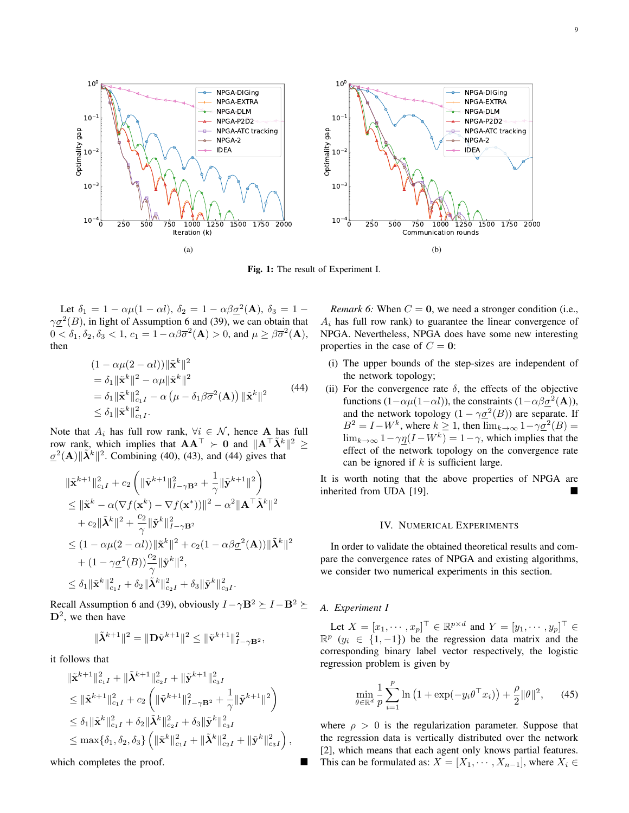<span id="page-8-2"></span>

Fig. 1: The result of Experiment I.

Let  $\delta_1 = 1 - \alpha \mu (1 - \alpha l)$ ,  $\delta_2 = 1 - \alpha \beta \underline{\sigma}^2(\mathbf{A})$ ,  $\delta_3 = 1 - \mu$  $\gamma \underline{\sigma}^2(B)$ , in light of Assumption [6](#page-7-0) and [\(39\)](#page-7-2), we can obtain that  $0 < \delta_1, \delta_2, \delta_3 < 1, c_1 = 1 - \alpha \beta \overline{\sigma}^2(\mathbf{A}) > 0$ , and  $\mu \geq \beta \overline{\sigma}^2(\mathbf{A})$ , then

<span id="page-8-0"></span>
$$
(1 - \alpha \mu (2 - \alpha l)) \|\tilde{\mathbf{x}}^k\|^2
$$
  
=  $\delta_1 \|\tilde{\mathbf{x}}^k\|^2 - \alpha \mu \|\tilde{\mathbf{x}}^k\|^2$   
=  $\delta_1 \|\tilde{\mathbf{x}}^k\|_{c_1 I}^2 - \alpha (\mu - \delta_1 \beta \overline{\sigma}^2(\mathbf{A})) \|\tilde{\mathbf{x}}^k\|^2$   
 $\leq \delta_1 \|\tilde{\mathbf{x}}^k\|_{c_1 I}^2.$  (44)

Note that  $A_i$  has full row rank,  $\forall i \in \mathcal{N}$ , hence **A** has full row rank, which implies that  $A A^{\top} \succ 0$  and  $\|A^{\top} \tilde{\lambda}^k\|^2 \geq$  $\underline{\sigma}^2(A)$   $\|\tilde{\lambda}^k\|^2$ . Combining [\(40\)](#page-7-5), [\(43\)](#page-7-6), and [\(44\)](#page-8-0) gives that

$$
\begin{split} & \|\tilde{\mathbf{x}}^{k+1}\|_{c_{1}I}^{2}+c_{2}\left(\|\tilde{\mathbf{v}}^{k+1}\|_{I-\gamma\mathbf{B}^{2}}^{2}+\frac{1}{\gamma}\|\tilde{\mathbf{y}}^{k+1}\|^{2}\right) \\ & \leq \|\tilde{\mathbf{x}}^{k}-\alpha(\nabla f(\mathbf{x}^{k})-\nabla f(\mathbf{x}^{*}))\|^{2}-\alpha^{2}\|\mathbf{A}^{\top}\tilde{\mathbf{\lambda}}^{k}\|^{2} \\ & +c_{2}\|\tilde{\mathbf{\lambda}}^{k}\|^{2}+\frac{c_{2}}{\gamma}\|\tilde{\mathbf{y}}^{k}\|_{I-\gamma\mathbf{B}^{2}}^{2} \\ & \leq (1-\alpha\mu(2-\alpha l))\|\tilde{\mathbf{x}}^{k}\|^{2}+c_{2}(1-\alpha\beta\underline{\sigma}^{2}(\mathbf{A}))\|\tilde{\mathbf{\lambda}}^{k}\|^{2} \\ & + (1-\gamma\underline{\sigma}^{2}(B))\frac{c_{2}}{\gamma}\|\tilde{\mathbf{y}}^{k}\|^{2}, \\ & \leq \delta_{1}\|\tilde{\mathbf{x}}^{k}\|_{c_{1}I}^{2}+\delta_{2}\|\tilde{\mathbf{\lambda}}^{k}\|_{c_{2}I}^{2}+\delta_{3}\|\tilde{\mathbf{y}}^{k}\|_{c_{3}I}^{2}.\end{split}
$$

Recall Assumption [6](#page-7-0) and [\(39\)](#page-7-2), obviously  $I - \gamma \mathbf{B}^2 \succeq I - \mathbf{B}^2 \succeq I$  $\mathbf{D}^2$ , we then have

$$
\|\tilde{\pmb{\lambda}}^{k+1}\|^2=\|\mathbf{D}\tilde{\mathbf{v}}^{k+1}\|^2\leq \|\tilde{\mathbf{v}}^{k+1}\|^2_{I-\gamma\mathbf{B}^2},
$$

it follows that

$$
\begin{split} & \|\tilde{\mathbf{x}}^{k+1}\|_{c_1I}^2 + \|\tilde{\boldsymbol{\lambda}}^{k+1}\|_{c_2I}^2 + \|\tilde{\mathbf{y}}^{k+1}\|_{c_3I}^2 \\ & \leq \|\tilde{\mathbf{x}}^{k+1}\|_{c_1I}^2 + c_2 \left( \|\tilde{\mathbf{v}}^{k+1}\|_{I-\gamma \mathbf{B}^2}^2 + \frac{1}{\gamma} \|\tilde{\mathbf{y}}^{k+1}\|^2 \right) \\ & \leq \delta_1 \|\tilde{\mathbf{x}}^k\|_{c_1I}^2 + \delta_2 \|\tilde{\boldsymbol{\lambda}}^k\|_{c_2I}^2 + \delta_3 \|\tilde{\mathbf{y}}^k\|_{c_3I}^2 \\ & \leq \max\{\delta_1, \delta_2, \delta_3\} \left( \|\tilde{\mathbf{x}}^k\|_{c_1I}^2 + \|\tilde{\boldsymbol{\lambda}}^k\|_{c_2I}^2 + \|\tilde{\mathbf{y}}^k\|_{c_3I}^2 \right), \end{split}
$$

which completes the proof.

*Remark 6:* When  $C = 0$ , we need a stronger condition (i.e.,  $A_i$  has full row rank) to guarantee the linear convergence of NPGA. Nevertheless, NPGA does have some new interesting properties in the case of  $C = 0$ :

- (i) The upper bounds of the step-sizes are independent of the network topology;
- (ii) For the convergence rate  $\delta$ , the effects of the objective functions  $(1 - \alpha \mu(1 - \alpha l))$ , the constraints  $(1 - \alpha \beta \sigma^2(\mathbf{A}))$ , and the network topology  $(1 - \gamma \underline{\sigma}^2(B))$  are separate. If  $B^2 = I - W^k$ , where  $k \geq 1$ , then  $\lim_{k \to \infty} 1 - \gamma \underline{\sigma}^2(B) =$  $\lim_{k \to \infty} 1 - \gamma \eta (I - W^k) = 1 - \gamma$ , which implies that the effect of the network topology on the convergence rate can be ignored if  $k$  is sufficient large.

It is worth noting that the above properties of NPGA are inherited from UDA [\[19\]](#page-10-29).

# IV. NUMERICAL EXPERIMENTS

In order to validate the obtained theoretical results and compare the convergence rates of NPGA and existing algorithms, we consider two numerical experiments in this section.

*A. Experiment I*

Let  $X = [x_1, \dots, x_p]^\top \in \mathbb{R}^{p \times d}$  and  $Y = [y_1, \dots, y_p]^\top \in$  $\mathbb{R}^p$  (y<sub>i</sub> ∈ {1, -1}) be the regression data matrix and the corresponding binary label vector respectively, the logistic regression problem is given by

<span id="page-8-1"></span>
$$
\min_{\theta \in \mathbb{R}^d} \frac{1}{p} \sum_{i=1}^p \ln \left( 1 + \exp(-y_i \theta^\top x_i) \right) + \frac{\rho}{2} ||\theta||^2, \quad (45)
$$

where  $\rho > 0$  is the regularization parameter. Suppose that the regression data is vertically distributed over the network [\[2\]](#page-10-1), which means that each agent only knows partial features. This can be formulated as:  $X = [X_1, \cdots, X_{n-1}]$ , where  $X_i \in$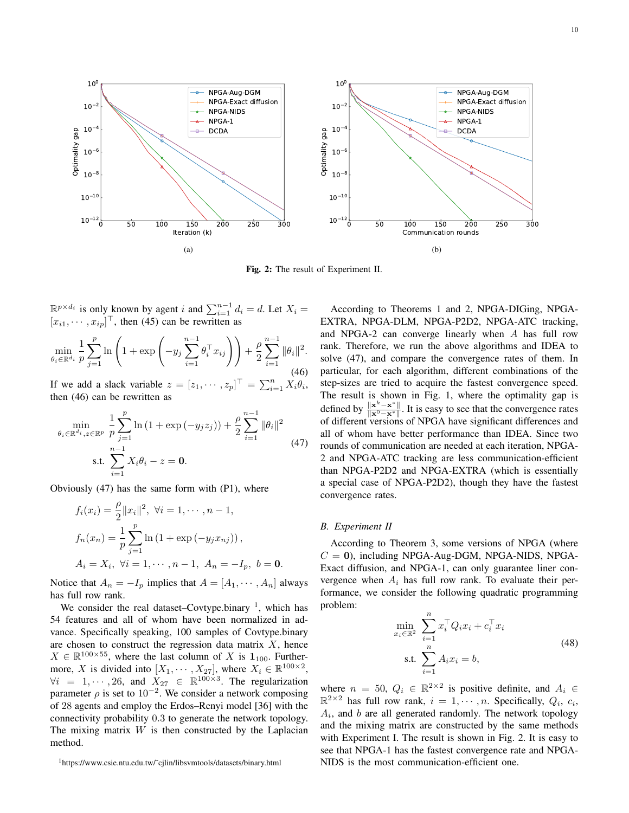<span id="page-9-3"></span>

<span id="page-9-0"></span>Fig. 2: The result of Experiment II.

 $\mathbb{R}^{p \times d_i}$  is only known by agent i and  $\sum_{i=1}^{n-1} d_i = d$ . Let  $X_i =$  $[x_{i1}, \cdots, x_{ip}]^\top$ , then [\(45\)](#page-8-1) can be rewritten as

$$
\min_{\theta_i \in \mathbb{R}^{d_i}} \frac{1}{p} \sum_{j=1}^p \ln \left( 1 + \exp \left( -y_j \sum_{i=1}^{n-1} \theta_i^\top x_{ij} \right) \right) + \frac{\rho}{2} \sum_{i=1}^{n-1} \|\theta_i\|^2.
$$
\n(46)

If we add a slack variable  $z = [z_1, \dots, z_p]^\top = \sum_{i=1}^n X_i \theta_i$ , then [\(46\)](#page-9-0) can be rewritten as

<span id="page-9-1"></span>
$$
\min_{\theta_i \in \mathbb{R}^{d_i}, z \in \mathbb{R}^p} \frac{1}{p} \sum_{j=1}^p \ln(1 + \exp(-y_j z_j)) + \frac{\rho}{2} \sum_{i=1}^{n-1} \|\theta_i\|^2
$$
\n
$$
\text{s.t. } \sum_{i=1}^{n-1} X_i \theta_i - z = \mathbf{0}.
$$
\n(47)

Obviously [\(47\)](#page-9-1) has the same form with [\(P1\)](#page-0-0), where

$$
f_i(x_i) = \frac{\rho}{2} ||x_i||^2, \ \forall i = 1, \cdots, n-1,
$$
  

$$
f_n(x_n) = \frac{1}{p} \sum_{j=1}^p \ln(1 + \exp(-y_j x_{nj})),
$$
  

$$
A_i = X_i, \ \forall i = 1, \cdots, n-1, \ A_n = -I_p, \ b = \mathbf{0}.
$$

Notice that  $A_n = -I_p$  implies that  $A = [A_1, \dots, A_n]$  always has full row rank.

We consider the real dataset–Covtype.binary  $\frac{1}{1}$  $\frac{1}{1}$  $\frac{1}{1}$ , which has 54 features and all of whom have been normalized in advance. Specifically speaking, 100 samples of Covtype.binary are chosen to construct the regression data matrix  $X$ , hence  $X \in \mathbb{R}^{100 \times 55}$ , where the last column of X is  $\mathbf{1}_{100}$ . Furthermore, X is divided into  $[X_1, \dots, X_{27}]$ , where  $X_i \in \mathbb{R}^{100 \times 2}$ ,  $\forall i = 1, \cdots, 26$ , and  $X_{27} \in \mathbb{R}^{100 \times 3}$ . The regularization parameter  $\rho$  is set to 10<sup>-2</sup>. We consider a network composing of 28 agents and employ the Erdos–Renyi model [\[36\]](#page-10-35) with the connectivity probability 0.3 to generate the network topology. The mixing matrix  $W$  is then constructed by the Laplacian method.

According to Theorems [1](#page-4-10) and [2,](#page-6-8) NPGA-DIGing, NPGA-EXTRA, NPGA-DLM, NPGA-P2D2, NPGA-ATC tracking, and NPGA-2 can converge linearly when A has full row rank. Therefore, we run the above algorithms and IDEA to solve [\(47\)](#page-9-1), and compare the convergence rates of them. In particular, for each algorithm, different combinations of the step-sizes are tried to acquire the fastest convergence speed. The result is shown in Fig. [1,](#page-8-2) where the optimality gap is defined by  $\frac{\|\mathbf{x}^k - \mathbf{x}^*\|}{\|\mathbf{x}^0 - \mathbf{x}^*\|}$  $\frac{\|x\| \leq x}{\|x^0 - x^*\|}$ . It is easy to see that the convergence rates of different versions of NPGA have significant differences and all of whom have better performance than IDEA. Since two rounds of communication are needed at each iteration, NPGA-2 and NPGA-ATC tracking are less communication-efficient than NPGA-P2D2 and NPGA-EXTRA (which is essentially a special case of NPGA-P2D2), though they have the fastest convergence rates.

# *B. Experiment II*

According to Theorem [3,](#page-7-7) some versions of NPGA (where  $C = 0$ ), including NPGA-Aug-DGM, NPGA-NIDS, NPGA-Exact diffusion, and NPGA-1, can only guarantee liner convergence when  $A_i$  has full row rank. To evaluate their performance, we consider the following quadratic programming problem:

$$
\min_{x_i \in \mathbb{R}^2} \sum_{i=1}^n x_i^{\top} Q_i x_i + c_i^{\top} x_i
$$
\n
$$
\text{s.t. } \sum_{i=1}^n A_i x_i = b,
$$
\n(48)

where  $n = 50$ ,  $Q_i \in \mathbb{R}^{2 \times 2}$  is positive definite, and  $A_i \in$  $\mathbb{R}^{2\times 2}$  has full row rank,  $i = 1, \dots, n$ . Specifically,  $Q_i, c_i$ ,  $A_i$ , and  $b$  are all generated randomly. The network topology and the mixing matrix are constructed by the same methods with Experiment I. The result is shown in Fig. [2.](#page-9-3) It is easy to see that NPGA-1 has the fastest convergence rate and NPGA-NIDS is the most communication-efficient one.

<span id="page-9-2"></span><sup>1</sup>[https://www.csie.ntu.edu.tw/˜cjlin/libsvmtools/datasets/binary.html](https://www.csie.ntu.edu.tw/~cjlin/libsvmtools/datasets/binary.html)